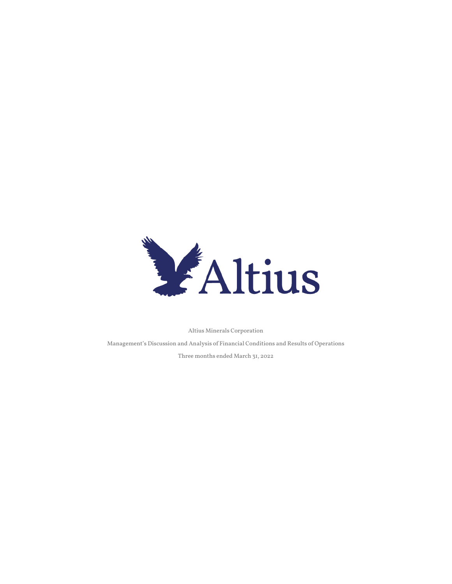

Altius Minerals Corporation

Management's Discussion and Analysis of Financial Conditions and Results of Operations Three months ended March 31, 2022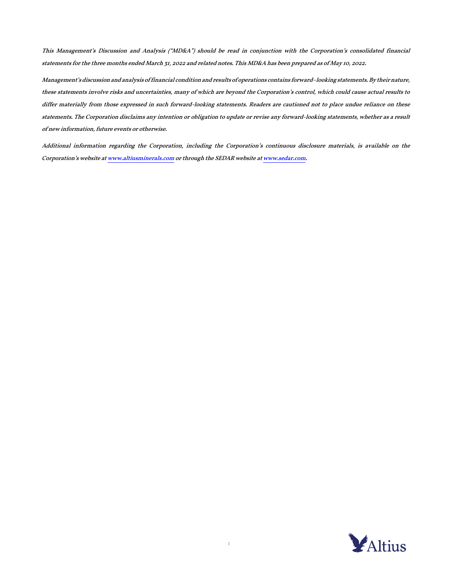This Management's Discussion and Analysis ("MD&A") should be read in conjunction with the Corporation's consolidated financial statements for the three months ended March 31, 2022 and related notes. This MD&A has been prepared as of May 10, 2022.

Management's discussion and analysis of financial condition and results of operations contains forward–looking statements. By their nature, these statements involve risks and uncertainties, many of which are beyond the Corporation's control, which could cause actual results to differ materially from those expressed in such forward-looking statements. Readers are cautioned not to place undue reliance on these statements. The Corporation disclaims any intention or obligation to update or revise any forward-looking statements, whether as a result of new information, future events or otherwise.

Additional information regarding the Corporation, including the Corporation's continuous disclosure materials, is available on the Corporation's website a[t www.altiusminerals.com](http://www.altiusminerals.com/) or through the SEDAR website a[t www.sedar.com.](http://www.sedar.com/)

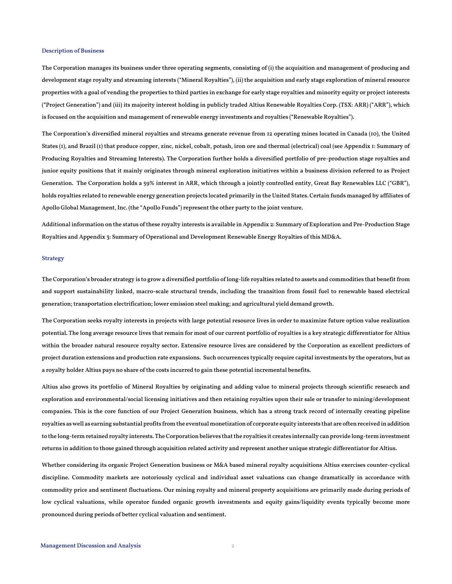### Description of Business

The Corporation manages its business under three operating segments, consisting of (i) the acquisition and management of producing and development stage royalty and streaming interests ("Mineral Royalties"), (ii) the acquisition and early stage exploration of mineral resource properties with a goal of vending the properties to third parties in exchange for early stage royalties and minority equity or project interests ("Project Generation") and (iii) its majority interest holding in publicly traded Altius Renewable Royalties Corp. (TSX: ARR) ("ARR"), which is focused on the acquisition and management of renewable energy investments and royalties ("Renewable Royalties").

The Corporation's diversified mineral royalties and streams generate revenue from 12 operating mines located in Canada (10), the United States (1), and Brazil (1) that produce copper, zinc, nickel, cobalt, potash, iron ore and thermal (electrical) coal (see Appendix 1: Summary of Producing Royalties and Streaming Interests). The Corporation further holds a diversified portfolio of pre-production stage royalties and junior equity positions that it mainly originates through mineral exploration initiatives within a business division referred to as Project Generation. The Corporation holds a 59% interest in ARR, which through a jointly controlled entity, Great Bay Renewables LLC ("GBR"), holds royalties related to renewable energy generation projects located primarily in the United States. Certain funds managed by affiliates of Apollo Global Management, Inc. (the "Apollo Funds") represent the other party to the joint venture.

Additional information on the status of these royalty interests is available in Appendix 2: Summary of Exploration and Pre-Production Stage Royalties and Appendix 3: Summary of Operational and Development Renewable Energy Royalties of this MD&A.

# Strategy

The Corporation's broader strategy is to grow a diversified portfolio of long-life royalties related to assets and commodities that benefit from and support sustainability linked, macro-scale structural trends, including the transition from fossil fuel to renewable based electrical generation; transportation electrification; lower emission steel making; and agricultural yield demand growth.

The Corporation seeks royalty interests in projects with large potential resource lives in order to maximize future option value realization potential. The long average resource lives that remain for most of our current portfolio of royalties is a key strategic differentiator for Altius within the broader natural resource royalty sector. Extensive resource lives are considered by the Corporation as excellent predictors of project duration extensions and production rate expansions. Such occurrences typically require capital investments by the operators, but as a royalty holder Altius pays no share of the costs incurred to gain these potential incremental benefits.

Altius also grows its portfolio of Mineral Royalties by originating and adding value to mineral projects through scientific research and exploration and environmental/social licensing initiatives and then retaining royalties upon their sale or transfer to mining/development companies. This is the core function of our Project Generation business, which has a strong track record of internally creating pipeline royalties as well as earning substantial profits from the eventual monetization of corporate equity interests that are often received in addition to the long-termretained royalty interests. The Corporation believes that the royalties it creates internally can provide long-term investment returns in addition to those gained through acquisition related activity and represent another unique strategic differentiator for Altius.

Whether considering its organic Project Generation business or M&A based mineral royalty acquisitions Altius exercises counter-cyclical discipline. Commodity markets are notoriously cyclical and individual asset valuations can change dramatically in accordance with commodity price and sentiment fluctuations. Our mining royalty and mineral property acquisitions are primarily made during periods of low cyclical valuations, while operator funded organic growth investments and equity gains/liquidity events typically become more pronounced during periods of better cyclical valuation and sentiment.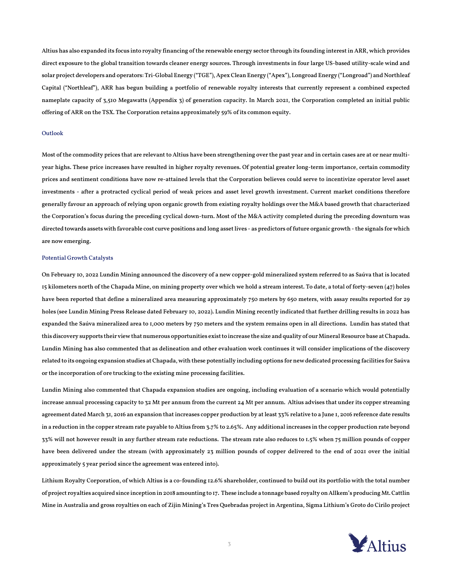Altius has also expanded its focus into royalty financing of the renewable energy sector through its founding interest in ARR, which provides direct exposure to the global transition towards cleaner energy sources. Through investments in four large US-based utility-scale wind and solar project developers and operators: Tri-Global Energy ("TGE"), Apex Clean Energy ("Apex"), Longroad Energy ("Longroad") and Northleaf Capital ("Northleaf"), ARR has begun building a portfolio of renewable royalty interests that currently represent a combined expected nameplate capacity of 3,510 Megawatts (Appendix 3) of generation capacity. In March 2021, the Corporation completed an initial public offering of ARR on the TSX. The Corporation retains approximately 59% of its common equity.

# Outlook

Most of the commodity prices that are relevant to Altius have been strengthening over the past year and in certain cases are at or near multiyear highs. These price increases have resulted in higher royalty revenues. Of potential greater long-term importance, certain commodity prices and sentiment conditions have now re-attained levels that the Corporation believes could serve to incentivize operator level asset investments - after a protracted cyclical period of weak prices and asset level growth investment. Current market conditions therefore generally favour an approach of relying upon organic growth from existing royalty holdings over the M&A based growth that characterized the Corporation's focus during the preceding cyclical down-turn. Most of the M&A activity completed during the preceding downturn was directed towards assets with favorable cost curve positions and long asset lives - as predictors of future organic growth - the signals for which are now emerging.

# Potential Growth Catalysts

On February 10, 2022 Lundin Mining announced the discovery of a new copper-gold mineralized system referred to as Saúva that is located 15 kilometers north of the Chapada Mine, on mining property over which we hold a stream interest. To date, a total of forty-seven (47) holes have been reported that define a mineralized area measuring approximately 750 meters by 650 meters, with assay results reported for 29 holes (see Lundin Mining Press Release dated February 10, 2022). Lundin Mining recently indicated that further drilling results in 2022 has expanded the Saúva mineralized area to 1,000 meters by 750 meters and the system remains open in all directions. Lundin has stated that this discovery supports their view that numerous opportunities exist to increase the size and quality of our Mineral Resource base at Chapada. Lundin Mining has also commented that as delineation and other evaluation work continues it will consider implications of the discovery related to its ongoing expansion studies at Chapada, with these potentially including options for new dedicated processing facilities for Saúva or the incorporation of ore trucking to the existing mine processing facilities.

Lundin Mining also commented that Chapada expansion studies are ongoing, including evaluation of a scenario which would potentially increase annual processing capacity to 32 Mt per annum from the current 24 Mt per annum. Altius advises that under its copper streaming agreement dated March 31, 2016 an expansion that increases copper production by at least 33% relative to a June 1, 2016 reference date results in a reduction in the copper stream rate payable to Altius from 3.7% to 2.65%. Any additional increases in the copper production rate beyond 33% will not however result in any further stream rate reductions. The stream rate also reduces to 1.5% when 75 million pounds of copper have been delivered under the stream (with approximately 23 million pounds of copper delivered to the end of 2021 over the initial approximately 5 year period since the agreement was entered into).

Lithium Royalty Corporation, of which Altius is a co-founding 12.6% shareholder, continued to build out its portfolio with the total number of project royalties acquired since inception in 2018 amounting to 17. These include a tonnage based royalty on Allkem's producing Mt. Cattlin Mine in Australia and gross royalties on each of Zijin Mining's Tres Quebradas project in Argentina, Sigma Lithium's Groto do Cirilo project

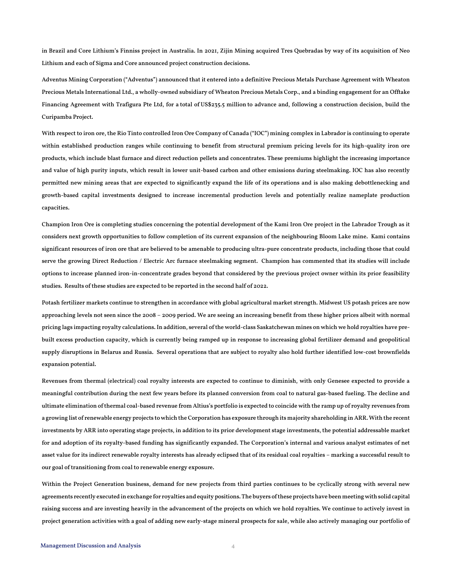in Brazil and Core Lithium's Finniss project in Australia. In 2021, Zijin Mining acquired Tres Quebradas by way of its acquisition of Neo Lithium and each of Sigma and Core announced project construction decisions.

Adventus Mining Corporation ("Adventus") announced that it entered into a definitive Precious Metals Purchase Agreement with Wheaton Precious Metals International Ltd., a wholly-owned subsidiary of Wheaton Precious Metals Corp., and a binding engagement for an Offtake Financing Agreement with Trafigura Pte Ltd, for a total of US\$235.5 million to advance and, following a construction decision, build the Curipamba Project.

With respect to iron ore, the Rio Tinto controlled Iron Ore Company of Canada ("IOC") mining complex in Labrador is continuing to operate within established production ranges while continuing to benefit from structural premium pricing levels for its high-quality iron ore products, which include blast furnace and direct reduction pellets and concentrates. These premiums highlight the increasing importance and value of high purity inputs, which result in lower unit-based carbon and other emissions during steelmaking. IOC has also recently permitted new mining areas that are expected to significantly expand the life of its operations and is also making debottlenecking and growth-based capital investments designed to increase incremental production levels and potentially realize nameplate production capacities.

Champion Iron Ore is completing studies concerning the potential development of the Kami Iron Ore project in the Labrador Trough as it considers next growth opportunities to follow completion of its current expansion of the neighbouring Bloom Lake mine. Kami contains significant resources of iron ore that are believed to be amenable to producing ultra-pure concentrate products, including those that could serve the growing Direct Reduction / Electric Arc furnace steelmaking segment. Champion has commented that its studies will include options to increase planned iron-in-concentrate grades beyond that considered by the previous project owner within its prior feasibility studies. Results of these studies are expected to be reported in the second half of 2022.

Potash fertilizer markets continue to strengthen in accordance with global agricultural market strength. Midwest US potash prices are now approaching levels not seen since the 2008 – 2009 period. We are seeing an increasing benefit from these higher prices albeit with normal pricing lags impacting royalty calculations. In addition, several of the world-class Saskatchewan mines on which we hold royalties have prebuilt excess production capacity, which is currently being ramped up in response to increasing global fertilizer demand and geopolitical supply disruptions in Belarus and Russia. Several operations that are subject to royalty also hold further identified low-cost brownfields expansion potential.

Revenues from thermal (electrical) coal royalty interests are expected to continue to diminish, with only Genesee expected to provide a meaningful contribution during the next few years before its planned conversion from coal to natural gas-based fueling. The decline and ultimate elimination of thermal coal-based revenue from Altius's portfolio is expected to coincide with the ramp up of royalty revenues from a growing list of renewable energy projects to which the Corporation has exposure through its majority shareholding in ARR. With the recent investments by ARR into operating stage projects, in addition to its prior development stage investments, the potential addressable market for and adoption of its royalty-based funding has significantly expanded. The Corporation's internal and various analyst estimates of net asset value for its indirect renewable royalty interests has already eclipsed that of its residual coal royalties – marking a successful result to our goal of transitioning from coal to renewable energy exposure.

Within the Project Generation business, demand for new projects from third parties continues to be cyclically strong with several new agreements recently executed in exchange for royalties and equity positions. The buyers of these projects have been meeting with solid capital raising success and are investing heavily in the advancement of the projects on which we hold royalties. We continue to actively invest in project generation activities with a goal of adding new early-stage mineral prospects for sale, while also actively managing our portfolio of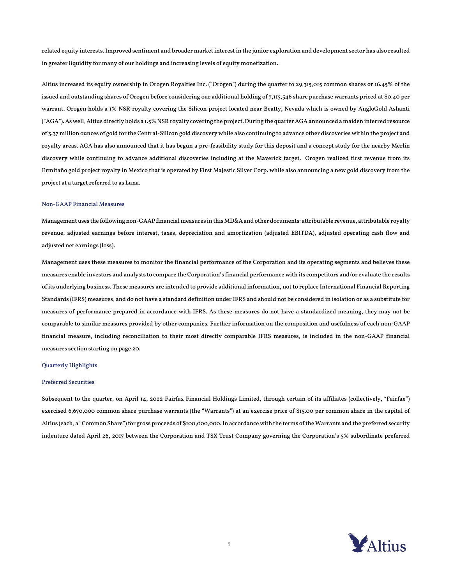related equity interests. Improved sentiment and broader market interest in the junior exploration and development sector has also resulted in greater liquidity for many of our holdings and increasing levels of equity monetization.

Altius increased its equity ownership in Orogen Royalties Inc. ("Orogen") during the quarter to 29,315,015 common shares or 16.45% of the issued and outstanding shares of Orogen before considering our additional holding of 7,115,546 share purchase warrants priced at \$0.40 per warrant. Orogen holds a 1% NSR royalty covering the Silicon project located near Beatty, Nevada which is owned by AngloGold Ashanti ("AGA"). As well, Altius directly holds a 1.5% NSR royalty covering the project. During the quarter AGA announced a maiden inferred resource of 3.37 million ounces of gold for the Central-Silicon gold discovery while also continuing to advance other discoveries within the project and royalty areas. AGA has also announced that it has begun a pre-feasibility study for this deposit and a concept study for the nearby Merlin discovery while continuing to advance additional discoveries including at the Maverick target. Orogen realized first revenue from its Ermitaño gold project royalty in Mexico that is operated by First Majestic Silver Corp. while also announcing a new gold discovery from the project at a target referred to as Luna.

# Non-GAAP Financial Measures

Management uses the following non-GAAPfinancial measures in this MD&A and other documents: attributable revenue, attributable royalty revenue, adjusted earnings before interest, taxes, depreciation and amortization (adjusted EBITDA), adjusted operating cash flow and adjusted net earnings (loss).

Management uses these measures to monitor the financial performance of the Corporation and its operating segments and believes these measures enable investors and analysts to compare the Corporation's financial performance with its competitors and/or evaluate the results of its underlying business. These measures are intended to provide additional information, not to replace International Financial Reporting Standards (IFRS) measures, and do not have a standard definition under IFRS and should not be considered in isolation or as a substitute for measures of performance prepared in accordance with IFRS. As these measures do not have a standardized meaning, they may not be comparable to similar measures provided by other companies. Further information on the composition and usefulness of each non-GAAP financial measure, including reconciliation to their most directly comparable IFRS measures, is included in the non-GAAP financial measures section starting on page 20.

### Quarterly Highlights

# Preferred Securities

Subsequent to the quarter, on April 14, 2022 Fairfax Financial Holdings Limited, through certain of its affiliates (collectively, "Fairfax") exercised 6,670,000 common share purchase warrants (the "Warrants") at an exercise price of \$15.00 per common share in the capital of Altius (each, a "Common Share") for gross proceeds of \$100,000,000. In accordance with the terms of the Warrants and the preferred security indenture dated April 26, 2017 between the Corporation and TSX Trust Company governing the Corporation's 5% subordinate preferred

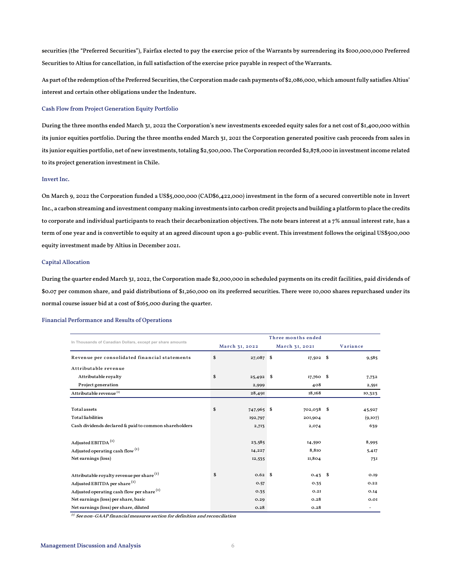securities (the "Preferred Securities"), Fairfax elected to pay the exercise price of the Warrants by surrendering its \$100,000,000 Preferred Securities to Altius for cancellation, in full satisfaction of the exercise price payable in respect of the Warrants.

As part of the redemption of the Preferred Securities, the Corporation made cash payments of \$2,086,000, which amount fully satisfies Altius' interest and certain other obligations under the Indenture.

# Cash Flow from Project Generation Equity Portfolio

During the three months ended March 31, 2022 the Corporation's new investments exceeded equity sales for a net cost of \$1,400,000 within its junior equities portfolio. During the three months ended March 31, 2021 the Corporation generated positive cash proceeds from sales in its junior equities portfolio, net of new investments, totaling \$2,500,000. The Corporation recorded \$2,878,000 in investment income related to its project generation investment in Chile.

# Invert Inc.

On March 9, 2022 the Corporation funded a US\$5,000,000 (CAD\$6,422,000) investment in the form of a secured convertible note in Invert Inc., a carbon streaming and investment company making investments into carbon credit projects and building aplatformto place the credits to corporate and individual participants to reach their decarbonization objectives. The note bears interest at a 7% annual interest rate, has a term of one year and is convertible to equity at an agreed discount upon a go-public event. This investment follows the original US\$500,000 equity investment made by Altius in December 2021.

# Capital Allocation

During the quarter ended March 31, 2022, the Corporation made \$2,000,000 in scheduled payments on its credit facilities, paid dividends of \$0.07 per common share, and paid distributions of \$1,260,000 on its preferred securities. There were 10,000 shares repurchased under its normal course issuer bid at a cost of \$165,000 during the quarter.

# Financial Performance and Results of Operations

|                                                            | Three months ended |                   |  |                |  |          |  |
|------------------------------------------------------------|--------------------|-------------------|--|----------------|--|----------|--|
| In Thousands of Canadian Dollars, except per share amounts |                    | March 31, 2022    |  | March 31, 2021 |  | Variance |  |
| Revenue per consolidated financial statements              | \$                 | 27,087 \$         |  | $17,502$ \$    |  | 9,585    |  |
| Attributable revenue                                       |                    |                   |  |                |  |          |  |
| Attributable royalty                                       | \$                 | $25,492$ \$       |  | $17,760$ \$    |  | 7,732    |  |
| Project generation                                         |                    | 2,999             |  | 408            |  | 2,591    |  |
| Attributable revenue <sup>(1)</sup>                        |                    | 28,491            |  | 18,168         |  | 10,323   |  |
|                                                            |                    |                   |  |                |  |          |  |
| Totalassets                                                | \$                 | 747,965 \$        |  | 702,038 \$     |  | 45,927   |  |
| <b>Totalliabilities</b>                                    |                    | 192,797           |  | 201,904        |  | (9,107)  |  |
| Cash dividends declared & paid to common shareholders      |                    | 2,713             |  | 2,074          |  | 639      |  |
| Adjusted EBITDA <sup>(1)</sup>                             |                    | 23,585            |  | 14,590         |  | 8,995    |  |
| Adjusted operating cash flow <sup>(1)</sup>                |                    | 14,227            |  | 8,810          |  | 5,417    |  |
| Net earnings (loss)                                        |                    | 12,535            |  | 11,804         |  | 731      |  |
| Attributable royalty revenue per share <sup>(1)</sup>      | \$                 | 0.62 <sup>5</sup> |  | $0.43$ \$      |  | 0.19     |  |
| Adjusted EBITDA per share <sup>(1)</sup>                   |                    | O.57              |  | 0.35           |  | 0.22     |  |
| Adjusted operating cash flow per share (1)                 |                    | 0.35              |  | 0.2I           |  | O.I4     |  |
| Net earnings (loss) per share, basic                       |                    | 0.29              |  | 0.28           |  | 0.01     |  |
| Net earnings (loss) per share, diluted                     |                    | 0.28              |  | 0.28           |  |          |  |

 $^{(t)}$  See non-GAAP financial measures section for definition and reconciliation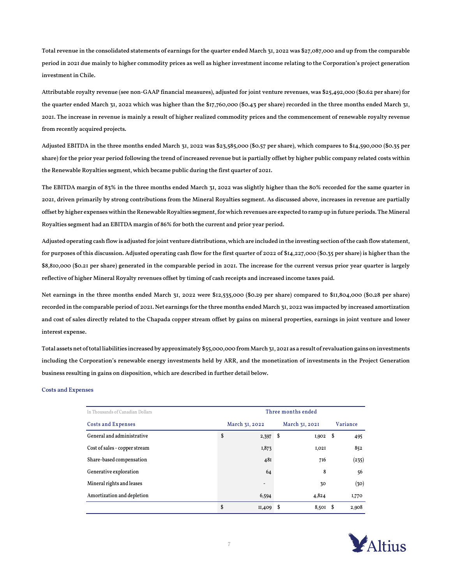Total revenue in the consolidated statements of earnings for the quarter ended March 31, 2022 was \$27,087,000 and up from the comparable period in 2021 due mainly to higher commodity prices as well as higher investment income relating to the Corporation's project generation investment in Chile.

Attributable royalty revenue (see non-GAAP financial measures), adjusted for joint venture revenues, was \$25,492,000 (\$0.62 per share) for the quarter ended March 31, 2022 which was higher than the \$17,760,000 (\$0.43 per share) recorded in the three months ended March 31, 2021. The increase in revenue is mainly a result of higher realized commodity prices and the commencement of renewable royalty revenue from recently acquired projects.

Adjusted EBITDA in the three months ended March 31, 2022 was \$23,585,000 (\$0.57 per share), which compares to \$14,590,000 (\$0.35 per share) for the prior year period following the trend of increased revenue but is partially offset by higher public company related costs within the Renewable Royalties segment, which became public during the first quarter of 2021.

The EBITDA margin of 83% in the three months ended March 31, 2022 was slightly higher than the 80% recorded for the same quarter in 2021, driven primarily by strong contributions from the Mineral Royalties segment. As discussed above, increases in revenue are partially offset by higher expenses within the Renewable Royalties segment, for which revenues are expected to ramp up in future periods. The Mineral Royalties segment had an EBITDA margin of 86% for both the current and prior year period.

Adjusted operating cash flow is adjusted for joint venture distributions, which are included in the investing section of the cash flowstatement, for purposes of this discussion. Adjusted operating cash flow for the first quarter of 2022 of \$14,227,000 (\$0.35 per share) is higher than the \$8,810,000 (\$0.21 per share) generated in the comparable period in 2021. The increase for the current versus prior year quarter is largely reflective of higher Mineral Royalty revenues offset by timing of cash receipts and increased income taxes paid.

Net earnings in the three months ended March 31, 2022 were \$12,535,000 (\$0.29 per share) compared to \$11,804,000 (\$0.28 per share) recorded in the comparable period of 2021. Net earnings for the three months ended March 31, 2022 was impacted by increased amortization and cost of sales directly related to the Chapada copper stream offset by gains on mineral properties, earnings in joint venture and lower interest expense.

Total assets net of total liabilities increased by approximately \$55,000,000 from March 31, 2021 as a result of revaluation gains on investments including the Corporation's renewable energy investments held by ARR, and the monetization of investments in the Project Generation business resulting in gains on disposition, which are described in further detail below.

# Costs and Expenses

| In Thousands of Canadian Dollars | Three months ended               |    |       |          |       |  |  |
|----------------------------------|----------------------------------|----|-------|----------|-------|--|--|
| Costs and Expenses               | March 31, 2022<br>March 31, 2021 |    |       | Variance |       |  |  |
| General and administrative       | \$<br>2,397                      | \$ | I,902 | - \$     | 495   |  |  |
| Cost of sales - copper stream    | I,873                            |    | I,02I |          | 852   |  |  |
| Share-based compensation         | 48I                              |    | 716   |          | (235) |  |  |
| Generative exploration           | 64                               |    | 8     |          | 56    |  |  |
| Mineral rights and leases        | $\qquad \qquad \blacksquare$     |    | 30    |          | (30)  |  |  |
| Amortization and depletion       | 6,594                            |    | 4,824 |          | 1,770 |  |  |
|                                  | \$<br>II.409                     | S  | 8,501 | - S      | 2,908 |  |  |

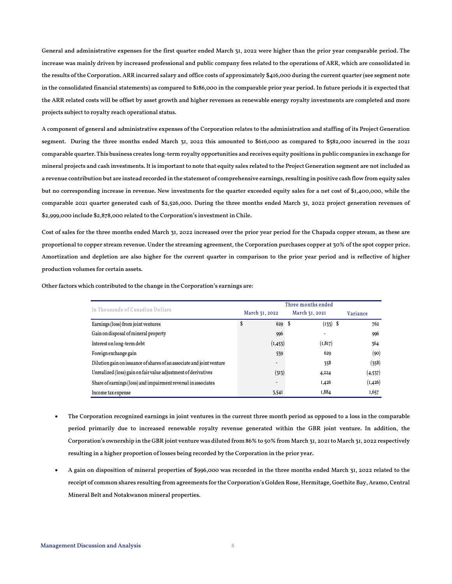General and administrative expenses for the first quarter ended March 31, 2022 were higher than the prior year comparable period. The increase was mainly driven by increased professional and public company fees related to the operations of ARR, which are consolidated in the results of the Corporation. ARR incurred salary and office costs of approximately \$416,000 during the current quarter (see segment note in the consolidated financial statements) as compared to \$186,000 in the comparable prior year period. In future periods it is expected that the ARR related costs will be offset by asset growth and higher revenues as renewable energy royalty investments are completed and more projects subject to royalty reach operational status.

A component of general and administrative expenses of the Corporation relates to the administration and staffing of its Project Generation segment. During the three months ended March 31, 2022 this amounted to \$616,000 as compared to \$582,000 incurred in the 2021 comparable quarter. This business creates long-term royalty opportunities and receives equity positions in public companies in exchange for mineral projects and cash investments. It is important to note that equity sales related to the Project Generation segment are not included as a revenue contribution but are instead recorded in the statement of comprehensive earnings, resulting in positive cash flow from equity sales but no corresponding increase in revenue. New investments for the quarter exceeded equity sales for a net cost of \$1,400,000, while the comparable 2021 quarter generated cash of \$2,526,000. During the three months ended March 31, 2022 project generation revenues of \$2,999,000 include \$2,878,000 related to the Corporation's investment in Chile.

Cost of sales for the three months ended March 31, 2022 increased over the prior year period for the Chapada copper stream, as these are proportional to copper stream revenue. Under the streaming agreement, the Corporation purchases copper at 30% of the spot copper price. Amortization and depletion are also higher for the current quarter in comparison to the prior year period and is reflective of higher production volumes for certain assets.

|                                                                       | Three months ended       |                |          |  |  |  |
|-----------------------------------------------------------------------|--------------------------|----------------|----------|--|--|--|
| In Thousands of Canadian Dollars                                      | March 31, 2022           | March 31, 2021 | Variance |  |  |  |
| Earnings (loss) from joint ventures                                   | \$<br>629S               | $(133)$ \$     | 762      |  |  |  |
| Gain on disposal of mineral property                                  | 996                      |                | 996      |  |  |  |
| Interest on long-term debt                                            | (I, 453)                 | (1, 817)       | 364      |  |  |  |
| Foreign exchange gain                                                 | 539                      | 629            | (90)     |  |  |  |
| Dilution gain on issuance of shares of an associate and joint venture | -                        | 358            | (358)    |  |  |  |
| Unrealized (loss) gain on fair value adjustment of derivatives        | (313)                    | 4,224          | (4, 537) |  |  |  |
| Share of earnings (loss) and impairment reversal in associates        | $\overline{\phantom{a}}$ | I,426          | (I, 426) |  |  |  |
| Income tax expense                                                    | 3,54I                    | I,884          | 1,657    |  |  |  |

Other factors which contributed to the change in the Corporation's earnings are:

- The Corporation recognized earnings in joint ventures in the current three month period as opposed to a loss in the comparable period primarily due to increased renewable royalty revenue generated within the GBR joint venture. In addition, the Corporation's ownership in the GBR joint venture was diluted from 86% to 50% from March 31, 2021 to March 31, 2022 respectively resulting in a higher proportion of losses being recorded by the Corporation in the prior year.
- A gain on disposition of mineral properties of \$996,000 was recorded in the three months ended March 31, 2022 related to the receipt of common shares resulting from agreements for the Corporation's Golden Rose, Hermitage, Goethite Bay, Aramo, Central Mineral Belt and Notakwanon mineral properties.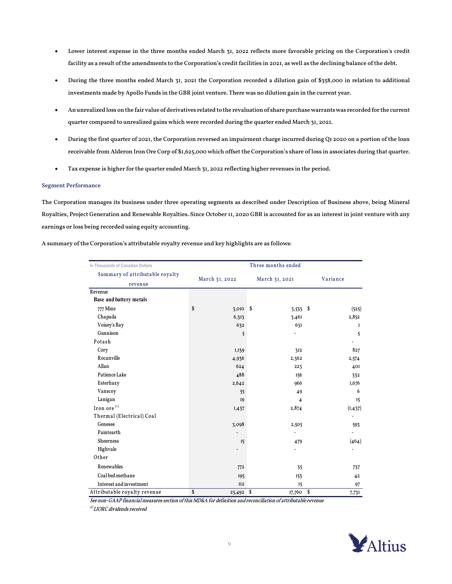- Lower interest expense in the three months ended March 31, 2022 reflects more favorable pricing on the Corporation's credit facility as a result of the amendments to the Corporation's credit facilities in 2021, as well as the declining balance of the debt.
- During the three months ended March 31, 2021 the Corporation recorded a dilution gain of \$358,000 in relation to additional investments made by Apollo Funds in the GBR joint venture. There was no dilution gain in the current year.
- An unrealized loss on the fair value of derivatives related to the revaluation of share purchase warrants was recorded for the current quarter compared to unrealized gains which were recorded during the quarter ended March 31, 2021.
- During the first quarter of 2021, the Corporation reversed an impairment charge incurred during Q1 2020 on a portion of the loan receivable from Alderon Iron Ore Corp of \$1,625,000 which offset the Corporation's share of loss in associates during that quarter.
- Tax expense is higher for the quarter ended March 31, 2022 reflecting higher revenues in the period.

# Segment Performance

The Corporation manages its business under three operating segments as described under Description of Business above, being Mineral Royalties, Project Generation and Renewable Royalties. Since October 11, 2020 GBR is accounted for as an interest in joint venture with any earnings or loss being recorded using equity accounting.

|  | A summary of the Corporation's attributable royalty revenue and key highlights are as follows: |
|--|------------------------------------------------------------------------------------------------|
|  |                                                                                                |

| In Thousands of Canadian Dollars           | Three months ended |                |          |  |  |  |  |  |  |
|--------------------------------------------|--------------------|----------------|----------|--|--|--|--|--|--|
| Summary of attributable royalty<br>revenue | March 31, 2022     | March 31, 2021 | Variance |  |  |  |  |  |  |
| Revenue                                    |                    |                |          |  |  |  |  |  |  |
| <b>Base and battery metals</b>             |                    |                |          |  |  |  |  |  |  |
| 777 Mine                                   | \$<br>$3,010$ \$   | $3,535$ \$     | (525)    |  |  |  |  |  |  |
| Chapada                                    | 6,313              | 3,461          | 2,852    |  |  |  |  |  |  |
| Voisey's Bay                               | 632                | 631            | 1        |  |  |  |  |  |  |
| Gunnison                                   | 5                  |                | 5        |  |  |  |  |  |  |
| Potash                                     |                    |                |          |  |  |  |  |  |  |
| Cory                                       | I, 139             | 312            | 827      |  |  |  |  |  |  |
| Rocanville                                 | 4,936              | 2,362          | 2,574    |  |  |  |  |  |  |
| Allan                                      | 624                | 223            | 401      |  |  |  |  |  |  |
| Patience Lake                              | 488                | 156            | 332      |  |  |  |  |  |  |
| Esterhazy                                  | 2,642              | 966            | I,676    |  |  |  |  |  |  |
| Vanscoy                                    | 55                 | 49             | 6        |  |  |  |  |  |  |
| Lanigan                                    | <b>I9</b>          | 4              | 15       |  |  |  |  |  |  |
| Iron ore <sup>(1)</sup>                    | I,437              | 2,874          | (I, 437) |  |  |  |  |  |  |
| Thermal (Electrical) Coal                  |                    |                |          |  |  |  |  |  |  |
| Genesee                                    | 3,098              | 2,505          | 593      |  |  |  |  |  |  |
| Paintearth                                 |                    |                |          |  |  |  |  |  |  |
| Sheerness                                  | 15                 | 479            | (464)    |  |  |  |  |  |  |
| Highvale                                   |                    |                |          |  |  |  |  |  |  |
| Other                                      |                    |                |          |  |  |  |  |  |  |
| Renewables                                 | 772                | 35             | 737      |  |  |  |  |  |  |
| Coal bed methane                           | 195                | 153            | 42       |  |  |  |  |  |  |
| Interest and investment                    | II2                | 15             | 97       |  |  |  |  |  |  |
| Attributable royalty revenue               | \$<br>25,492 \$    | 17,760 \$      | 7,731    |  |  |  |  |  |  |

See non-GAAP financial measures section of this MD&A for definition and reconciliation of attributable revenue

 $^{(1)}$ LIORC dividends received

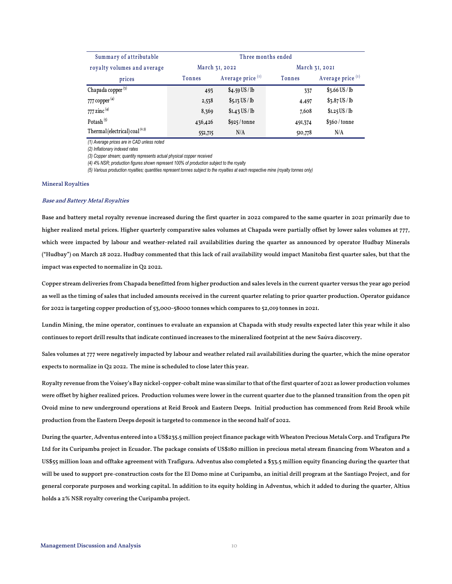| Summary of attributable           | Three months ended |                     |                |                              |  |  |  |  |
|-----------------------------------|--------------------|---------------------|----------------|------------------------------|--|--|--|--|
| royalty volumes and average       | March 31, 2022     |                     | March 31, 2021 |                              |  |  |  |  |
| prices                            | Tonnes             | Average price $(1)$ | Tonnes         | Average price <sup>(1)</sup> |  |  |  |  |
| Chapada copper $(3)$              | 493                | $$4.59$ US / lb     | 337            | $$3.66$ US / lb              |  |  |  |  |
| 777 copper $(4)$                  | 2,538              | $$5.13$ US / lb     | 4,497          | $$3.87$ US / lb              |  |  |  |  |
| 777 zinc $^{(4)}$                 | 8,369              | $$I.43$ US / lb     | 7,608          | \$I.25 US / lb               |  |  |  |  |
| Potash $(5)$                      | 436,426            | \$925/tonne         | 491,374        | \$360 / tonne                |  |  |  |  |
| Thermal (electrical) coal $(2,5)$ | 552,715            | N/A                 | 510,778        | N/A                          |  |  |  |  |

*(1) Average prices are in CAD unless noted*

*(2) Inflationary indexed rates*

*(3) Copper stream; quantity represents actual physical copper received* 

*(4) 4% NSR; production figures shown represent 100% of production subject to the royalty*

*(5) Various production royalties; quantities represent tonnes subject to the royalties at each respective mine (royalty tonnes only)*

# Mineral Royalties

### Base and Battery Metal Royalties

Base and battery metal royalty revenue increased during the first quarter in 2022 compared to the same quarter in 2021 primarily due to higher realized metal prices. Higher quarterly comparative sales volumes at Chapada were partially offset by lower sales volumes at 777, which were impacted by labour and weather-related rail availabilities during the quarter as announced by operator Hudbay Minerals ("Hudbay") on March 28 2022. Hudbay commented that this lack of rail availability would impact Manitoba first quarter sales, but that the impact was expected to normalize in Q2 2022.

Copper stream deliveries from Chapada benefitted from higher production and sales levels in the current quarter versus the year ago period as well as the timing of sales that included amounts received in the current quarter relating to prior quarter production. Operator guidance for 2022 is targeting copper production of 53,000-58000 tonnes which compares to 52,019 tonnes in 2021.

Lundin Mining, the mine operator, continues to evaluate an expansion at Chapada with study results expected later this year while it also continues to report drill results that indicate continued increases to the mineralized footprint at the new Saúva discovery.

Sales volumes at 777 were negatively impacted by labour and weather related rail availabilities during the quarter, which the mine operator expects to normalize in Q2 2022. The mine is scheduled to close later this year.

Royalty revenue from the Voisey's Bay nickel-copper-cobalt mine was similar to that of the first quarter of 2021 as lower production volumes were offset by higher realized prices. Production volumes were lower in the current quarter due to the planned transition from the open pit Ovoid mine to new underground operations at Reid Brook and Eastern Deeps. Initial production has commenced from Reid Brook while production from the Eastern Deeps deposit is targeted to commence in the second half of 2022.

During the quarter, Adventus entered into a US\$235.5 million project finance package with Wheaton Precious Metals Corp. and Trafigura Pte Ltd for its Curipamba project in Ecuador. The package consists of US\$180 million in precious metal stream financing from Wheaton and a US\$55 million loan and offtake agreement with Trafigura. Adventus also completed a \$33.5 million equity financing during the quarter that will be used to support pre-construction costs for the El Domo mine at Curipamba, an initial drill program at the Santiago Project, and for general corporate purposes and working capital. In addition to its equity holding in Adventus, which it added to during the quarter, Altius holds a 2% NSR royalty covering the Curipamba project.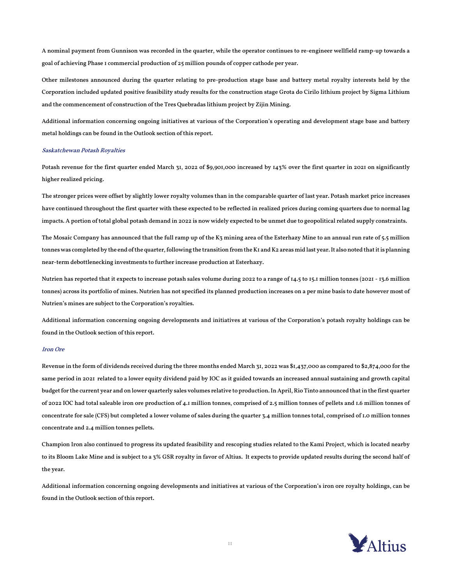A nominal payment from Gunnison was recorded in the quarter, while the operator continues to re-engineer wellfield ramp-up towards a goal of achieving Phase 1 commercial production of 25 million pounds of copper cathode per year.

Other milestones announced during the quarter relating to pre-production stage base and battery metal royalty interests held by the Corporation included updated positive feasibility study results for the construction stage Grota do Cirilo lithium project by Sigma Lithium and the commencement of construction of the Tres Quebradas lithium project by Zijin Mining.

Additional information concerning ongoing initiatives at various of the Corporation's operating and development stage base and battery metal holdings can be found in the Outlook section of this report.

# Saskatchewan Potash Royalties

Potash revenue for the first quarter ended March 31, 2022 of \$9,901,000 increased by 143% over the first quarter in 2021 on significantly higher realized pricing.

The stronger prices were offset by slightly lower royalty volumes than in the comparable quarter of last year. Potash market price increases have continued throughout the first quarter with these expected to be reflected in realized prices during coming quarters due to normal lag impacts. A portion of total global potash demand in 2022 is now widely expected to be unmet due to geopolitical related supply constraints.

The Mosaic Company has announced that the full ramp up of the K3 mining area of the Esterhazy Mine to an annual run rate of 5.5 million tonnes was completed by the end of the quarter, following the transition from the K1 and K2 areas mid last year. It also noted that it is planning near-term debottlenecking investments to further increase production at Esterhazy.

Nutrien has reported that it expects to increase potash sales volume during 2022 to a range of 14.5 to 15.1 million tonnes (2021 - 13.6 million tonnes) across its portfolio of mines. Nutrien has not specified its planned production increases on a per mine basis to date however most of Nutrien's mines are subject to the Corporation's royalties.

Additional information concerning ongoing developments and initiatives at various of the Corporation's potash royalty holdings can be found in the Outlook section of this report.

# Iron Ore

Revenue in the form of dividends received during the three months ended March 31, 2022 was \$1,437,000 as compared to \$2,874,000 for the same period in 2021 related to a lower equity dividend paid by IOC as it guided towards an increased annual sustaining and growth capital budget for the current year and on lower quarterly sales volumes relative to production. In April, Rio Tinto announced that in the first quarter of 2022 IOC had total saleable iron ore production of 4.1 million tonnes, comprised of 2.5 million tonnes of pellets and 1.6 million tonnes of concentrate for sale (CFS) but completed a lower volume of sales during the quarter 3.4 million tonnes total, comprised of 1.0 million tonnes concentrate and 2.4 million tonnes pellets.

Champion Iron also continued to progress its updated feasibility and rescoping studies related to the Kami Project, which is located nearby to its Bloom Lake Mine and is subject to a 3% GSR royalty in favor of Altius. It expects to provide updated results during the second half of the year.

Additional information concerning ongoing developments and initiatives at various of the Corporation's iron ore royalty holdings, can be found in the Outlook section of this report.

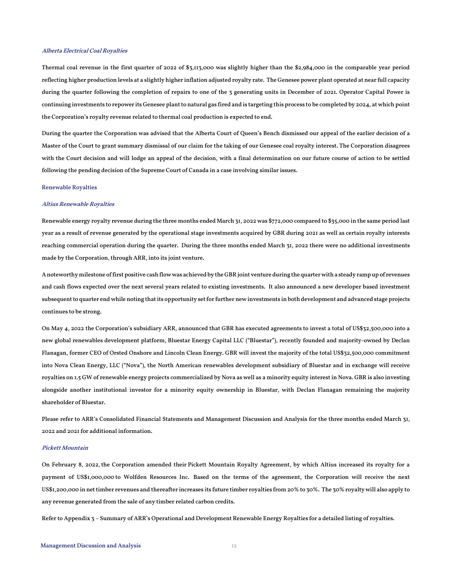# Alberta Electrical Coal Royalties

Thermal coal revenue in the first quarter of 2022 of \$3,113,000 was slightly higher than the \$2,984,000 in the comparable year period reflecting higher production levels at a slightly higher inflation adjusted royalty rate. The Genesee power plant operated at near full capacity during the quarter following the completion of repairs to one of the 3 generating units in December of 2021. Operator Capital Power is continuing investments to repower its Genesee plant to natural gas fired and is targeting this process to be completed by 2024, at which point the Corporation's royalty revenue related to thermal coal production is expected to end.

During the quarter the Corporation was advised that the Alberta Court of Queen's Bench dismissed our appeal of the earlier decision of a Master of the Court to grant summary dismissal of our claim for the taking of our Genesee coal royalty interest. The Corporation disagrees with the Court decision and will lodge an appeal of the decision, with a final determination on our future course of action to be settled following the pending decision of the Supreme Court of Canada in a case involving similar issues.

# Renewable Royalties

#### Altius Renewable Royalties

Renewable energy royalty revenue during the three months ended March 31, 2022 was \$772,000 compared to \$35,000 in the same period last year as a result of revenue generated by the operational stage investments acquired by GBR during 2021 as well as certain royalty interests reaching commercial operation during the quarter. During the three months ended March 31, 2022 there were no additional investments made by the Corporation, through ARR, into its joint venture.

A noteworthy milestone of first positive cash flow was achieved by the GBR joint venture during the quarter with a steady ramp up of revenues and cash flows expected over the next several years related to existing investments. It also announced a new developer based investment subsequent to quarter end while noting that its opportunity set for further new investments in both development and advanced stage projects continues to be strong.

On May 4, 2022 the Corporation's subsidiary ARR, announced that GBR has executed agreements to invest a total of US\$32,500,000 into a new global renewables development platform, Bluestar Energy Capital LLC ("Bluestar"), recently founded and majority-owned by Declan Flanagan, former CEO of Orsted Onshore and Lincoln Clean Energy. GBR will invest the majority of the total US\$32,500,000 commitment into Nova Clean Energy, LLC ("Nova"), the North American renewables development subsidiary of Bluestar and in exchange will receive royalties on 1.5 GW of renewable energy projects commercialized by Nova as well as a minority equity interest in Nova. GBR is also investing alongside another institutional investor for a minority equity ownership in Bluestar, with Declan Flanagan remaining the majority shareholder of Bluestar.

Please refer to ARR's Consolidated Financial Statements and Management Discussion and Analysis for the three months ended March 31, 2022 and 2021 for additional information.

# Pickett Mountain

On February 8, 2022, the Corporation amended their Pickett Mountain Royalty Agreement, by which Altius increased its royalty for a payment of US\$1,000,000 to Wolfden Resources Inc. Based on the terms of the agreement, the Corporation will receive the next US\$1,200,000 in net timber revenues and thereafter increases its future timber royalties from 20% to 30%. The 30% royalty will also apply to any revenue generated from the sale of any timber related carbon credits.

Refer to Appendix 3 – Summary of ARR's Operational and Development Renewable Energy Royalties for a detailed listing of royalties.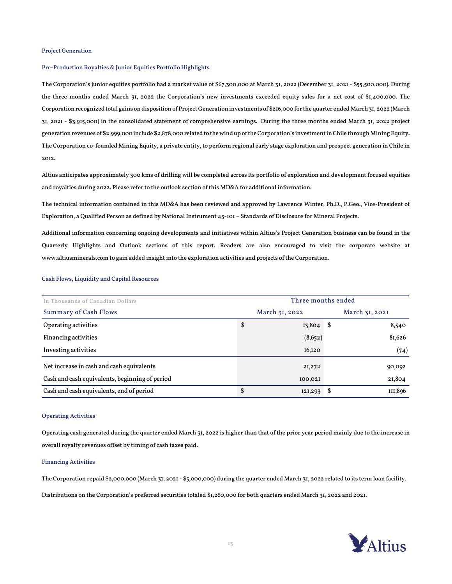# Project Generation

### Pre-Production Royalties & Junior Equities Portfolio Highlights

The Corporation's junior equities portfolio had a market value of \$67,300,000 at March 31, 2022 (December 31, 2021 - \$55,500,000). During the three months ended March 31, 2022 the Corporation's new investments exceeded equity sales for a net cost of \$1,400,000. The Corporation recognized total gains on disposition of Project Generation investments of \$216,000 for the quarter ended March 31, 2022 (March 31, 2021 - \$3,915,000) in the consolidated statement of comprehensive earnings. During the three months ended March 31, 2022 project generation revenues of \$2,999,000 include \$2,878,000 related to the wind up of the Corporation's investment in Chile through Mining Equity. The Corporation co-founded Mining Equity, a private entity, to perform regional early stage exploration and prospect generation in Chile in 2012.

Altius anticipates approximately 300 kms of drilling will be completed across its portfolio of exploration and development focused equities and royalties during 2022. Please refer to the outlook section of this MD&A for additional information.

The technical information contained in this MD&A has been reviewed and approved by Lawrence Winter, Ph.D., P.Geo., Vice-President of Exploration, a Qualified Person as defined by National Instrument 43-101 – Standards of Disclosure for Mineral Projects.

Additional information concerning ongoing developments and initiatives within Altius's Project Generation business can be found in the Quarterly Highlights and Outlook sections of this report. Readers are also encouraged to visit the corporate website at [www.altiusminerals.com](http://www.altiusminerals.com/) to gain added insight into the exploration activities and projects of the Corporation.

| In Thousands of Canadian Dollars               |    | Three months ended |                |         |  |  |  |
|------------------------------------------------|----|--------------------|----------------|---------|--|--|--|
| <b>Summary of Cash Flows</b>                   |    | March 31, 2022     | March 31, 2021 |         |  |  |  |
| Operating activities                           | \$ | $13,804$ \$        |                | 8,540   |  |  |  |
| <b>Financing activities</b>                    |    | (8,652)            |                | 81,626  |  |  |  |
| Investing activities                           |    | I6,I2O             |                | (74)    |  |  |  |
| Net increase in cash and cash equivalents      |    | 21,272             |                | 90,092  |  |  |  |
| Cash and cash equivalents, beginning of period |    | 100,021            |                | 21,804  |  |  |  |
| Cash and cash equivalents, end of period       | \$ | 121,293            | S              | III,896 |  |  |  |

# Cash Flows, Liquidity and Capital Resources

#### Operating Activities

Operating cash generated during the quarter ended March 31, 2022 is higher than that of the prior year period mainly due to the increase in overall royalty revenues offset by timing of cash taxes paid.

# Financing Activities

The Corporation repaid \$2,000,000 (March 31, 2021 - \$5,000,000) during the quarter ended March 31, 2022 related to its term loan facility.

Distributions on the Corporation's preferred securities totaled \$1,260,000 for both quarters ended March 31, 2022 and 2021.

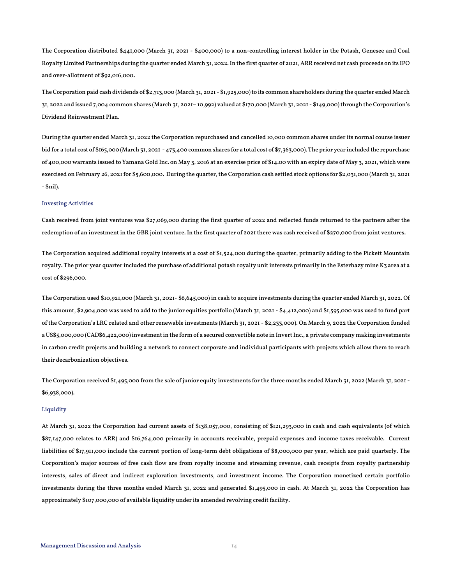The Corporation distributed \$441,000 (March 31, 2021 - \$400,000) to a non-controlling interest holder in the Potash, Genesee and Coal Royalty Limited Partnerships during the quarter ended March 31, 2022. In the first quarter of 2021, ARR received net cash proceeds on its IPO and over-allotment of \$92,016,000.

The Corporation paid cash dividends of \$2,713,000 (March 31, 2021 - \$1,925,000) to its common shareholders during the quarter ended March 31, 2022 and issued 7,004 common shares (March 31, 2021– 10,992) valued at \$170,000 (March 31, 2021 - \$149,000) through the Corporation's Dividend Reinvestment Plan.

During the quarter ended March 31, 2022 the Corporation repurchased and cancelled 10,000 common shares under its normal course issuer bid for a total cost of \$165,000 (March 31, 2021 - 473,400 common shares for a total cost of \$7,363,000). The prior year included the repurchase of 400,000 warrants issued to Yamana Gold Inc. on May 3, 2016 at an exercise price of \$14.00 with an expiry date of May 3, 2021, which were exercised on February 26, 2021 for \$5,600,000. During the quarter, the Corporation cash settled stock options for \$2,031,000 (March 31, 2021 - \$nil).

# Investing Activities

Cash received from joint ventures was \$27,069,000 during the first quarter of 2022 and reflected funds returned to the partners after the redemption of an investment in the GBR joint venture. In the first quarter of 2021 there was cash received of \$270,000 from joint ventures.

The Corporation acquired additional royalty interests at a cost of \$1,524,000 during the quarter, primarily adding to the Pickett Mountain royalty. The prior year quarter included the purchase of additional potash royalty unit interests primarily in the Esterhazy mine K3 area at a cost of \$296,000.

The Corporation used \$10,921,000 (March 31, 2021- \$6,645,000) in cash to acquire investments during the quarter ended March 31, 2022. Of this amount, \$2,904,000 was used to add to the junior equities portfolio (March 31, 2021 - \$4,412,000) and \$1,595,000 was used to fund part of the Corporation's LRC related and other renewable investments (March 31, 2021 - \$2,233,000). On March 9, 2022 the Corporation funded a US\$5,000,000 (CAD\$6,422,000) investment in the form of a secured convertible note in Invert Inc., a private company making investments in carbon credit projects and building a network to connect corporate and individual participants with projects which allow them to reach their decarbonization objectives.

The Corporation received \$1,495,000 from the sale of junior equity investments for the three months ended March 31, 2022 (March 31, 2021 - \$6,938,000).

### Liquidity

At March 31, 2022 the Corporation had current assets of \$138,057,000, consisting of \$121,293,000 in cash and cash equivalents (of which \$87,147,000 relates to ARR) and \$16,764,000 primarily in accounts receivable, prepaid expenses and income taxes receivable. Current liabilities of \$17,911,000 include the current portion of long-term debt obligations of \$8,000,000 per year, which are paid quarterly. The Corporation's major sources of free cash flow are from royalty income and streaming revenue, cash receipts from royalty partnership interests, sales of direct and indirect exploration investments, and investment income. The Corporation monetized certain portfolio investments during the three months ended March 31, 2022 and generated \$1,495,000 in cash. At March 31, 2022 the Corporation has approximately \$107,000,000 of available liquidity under its amended revolving credit facility.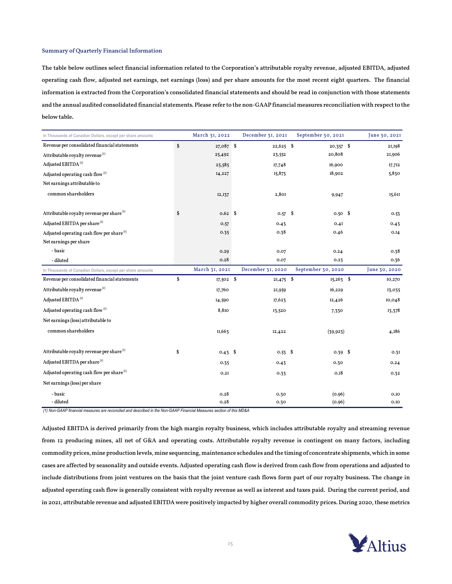# Summary of Quarterly Financial Information

The table below outlines select financial information related to the Corporation's attributable royalty revenue, adjusted EBITDA, adjusted operating cash flow, adjusted net earnings, net earnings (loss) and per share amounts for the most recent eight quarters. The financial information is extracted from the Corporation's consolidated financial statements and should be read in conjunction with those statements and the annual audited consolidated financial statements. Please refer to the non-GAAP financial measures reconciliation with respect to the below table.

| In Thousands of Canadian Dollars, except per share amounts | March 31, 2022           | December 31, 2021 | September 30, 2021 | June 30, 2021 |
|------------------------------------------------------------|--------------------------|-------------------|--------------------|---------------|
| Revenue per consolidated financial statements              | \$<br>$27,087$ \$        | $22,625$ \$       | $20,357$ \$        | 21,198        |
| Attributable royalty revenue <sup>(1)</sup>                | 25,492                   | 23,552            | 20,808             | 21,906        |
| Adjusted EBITDA <sup>(1)</sup>                             | 23,585                   | 17,748            | 16,900             | 17,712        |
| Adjusted operating cash flow <sup>(1)</sup>                | 14,227                   | 15,873            | 18,902             | 5,830         |
| Net earnings attributable to                               |                          |                   |                    |               |
| common shareholders                                        | 12,137                   | 2,801             | 9,947              | 15,611        |
| Attributable royalty revenue per share <sup>(1)</sup>      | \$<br>$0.62$ \$          | $0.57$ \$         | $0.50$ \$          | 0.53          |
| Adjusted EBITDA per share <sup>(1)</sup>                   | 0.57                     | 0.43              | 0.4I               | 0.43          |
| Adjusted operating cash flow per share $(1)$               | 0.35                     | 0.38              | 0.46               | 0.14          |
| Net earnings per share                                     |                          |                   |                    |               |
| - basic                                                    | 0.29                     | 0.07              | 0.24               | 0.38          |
| - diluted                                                  | 0.28                     | 0.07              | 0.23               | 0.36          |
| In Thousands of Canadian Dollars, except per share amounts | March 31, 2021           | December 31, 2020 | September 30, 2020 | June 30, 2020 |
| Revenue per consolidated financial statements              | \$<br>17,502 \$          | $21,475$ \$       | $15,263$ \$        | 10,270        |
| Attributable royalty revenue (1)                           | 17,760                   | 21,959            | 16,229             | 13,035        |
| Adjusted EBITDA <sup>(1)</sup>                             | 14,590                   | 17,623            | 12,426             | 10,048        |
| Adjusted operating cash flow <sup>(1)</sup>                | 8,810                    | 13,520            | 7,330              | 13,378        |
| Net earnings (loss) attributable to                        |                          |                   |                    |               |
| common shareholders                                        | II,663                   | 12,422            | (39, 923)          | 4,186         |
| Attributable royalty revenue per share <sup>(1)</sup>      | \$<br>$0.43 \text{ }$ \$ | $0.53$ \$         | $0.39$ \$          | 0.31          |
| Adjusted EBITDA per share <sup>(1)</sup>                   | 0.35                     | 0.43              | 0.30               | 0.24          |
| Adjusted operating cash flow per share $(i)$               | 0.2I                     | 0.33              | 0.18               | 0.32          |
| Net earnings (loss) per share                              |                          |                   |                    |               |
| - basic                                                    | 0.28                     | 0.30              | (0.96)             | 0.10          |
| - diluted                                                  | 0.28                     | 0.30              | (0.96)             | 0.10          |

*(1) Non-GAAP financial measures are reconciled and described in the Non-GAAP Financial Measures section of this MD&A*

Adjusted EBITDA is derived primarily from the high margin royalty business, which includes attributable royalty and streaming revenue from 12 producing mines, all net of G&A and operating costs. Attributable royalty revenue is contingent on many factors, including commodity prices, mine production levels, mine sequencing, maintenance schedules and the timing of concentrate shipments, which in some cases are affected by seasonality and outside events. Adjusted operating cash flow is derived from cash flow from operations and adjusted to include distributions from joint ventures on the basis that the joint venture cash flows form part of our royalty business. The change in adjusted operating cash flow is generally consistent with royalty revenue as well as interest and taxes paid. During the current period, and in 2021, attributable revenue and adjusted EBITDA were positively impacted by higher overall commodity prices. During 2020, these metrics

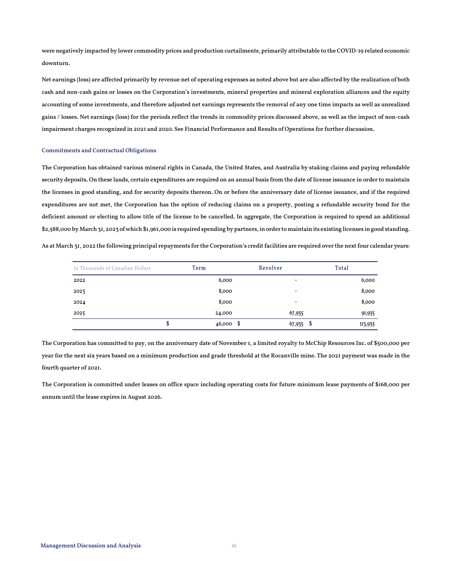were negatively impacted by lower commodity prices and production curtailments, primarily attributable to the COVID-19 related economic downturn.

Net earnings (loss) are affected primarily by revenue net of operating expenses as noted above but are also affected by the realization of both cash and non-cash gains or losses on the Corporation's investments, mineral properties and mineral exploration alliances and the equity accounting of some investments, and therefore adjusted net earnings represents the removal of any one time impacts as well as unrealized gains / losses. Net earnings (loss) for the periods reflect the trends in commodity prices discussed above, as well as the impact of non-cash impairment charges recognized in 2021 and 2020. See Financial Performance and Results of Operations for further discussion.

# Commitments and Contractual Obligations

The Corporation has obtained various mineral rights in Canada, the United States, and Australia by staking claims and paying refundable security deposits. On these lands, certain expenditures are required on an annual basis from the date of license issuance in order to maintain the licenses in good standing, and for security deposits thereon. On or before the anniversary date of license issuance, and if the required expenditures are not met, the Corporation has the option of reducing claims on a property, posting a refundable security bond for the deficient amount or electing to allow title of the license to be cancelled. In aggregate, the Corporation is required to spend an additional \$2,588,000 byMarch 31, 2023 of which \$1,961,000 is required spending by partners, in order to maintain its existing licenses in good standing.

As at March 31, 2022 the following principal repayments for the Corporation's credit facilities are required over the next four calendar years:

| In Thousands of Canadian Dollars | Term        | Revolver                 | Total   |
|----------------------------------|-------------|--------------------------|---------|
| 2022                             | 6,000       | $\overline{\phantom{0}}$ | 6,000   |
| 2023                             | 8,000       | $\overline{\phantom{0}}$ | 8,000   |
| 2024                             | 8,000       | -                        | 8,000   |
| 2025                             | 24,000      | 67,935                   | 91,935  |
| Φ                                | $46,000$ \$ | $67,935$ \$              | II3,935 |

The Corporation has committed to pay, on the anniversary date of November 1, a limited royalty to McChip Resources Inc. of \$500,000 per year for the next six years based on a minimum production and grade threshold at the Rocanville mine. The 2021 payment was made in the fourth quarter of 2021.

The Corporation is committed under leases on office space including operating costs for future minimum lease payments of \$168,000 per annum until the lease expires in August 2026.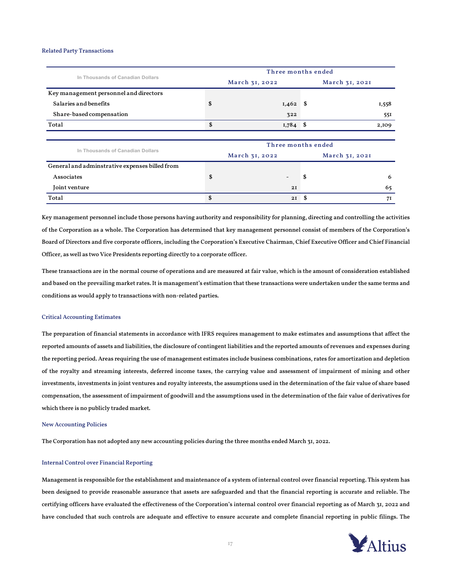### Related Party Transactions

| In Thousands of Canadian Dollars               |                    | Three months ended |     |                |  |  |  |  |
|------------------------------------------------|--------------------|--------------------|-----|----------------|--|--|--|--|
|                                                |                    | March 31, 2022     |     | March 31, 2021 |  |  |  |  |
| Key management personnel and directors         |                    |                    |     |                |  |  |  |  |
| Salaries and benefits                          | \$                 | 1,462              | - S | I,558          |  |  |  |  |
| Share-based compensation                       |                    | 322                |     | 55I            |  |  |  |  |
| Total                                          | \$                 | $1,784$ \$         |     | 2,109          |  |  |  |  |
|                                                |                    |                    |     |                |  |  |  |  |
| In Thousands of Canadian Dollars               | Three months ended |                    |     |                |  |  |  |  |
|                                                |                    | March 31, 2022     |     | March 31, 2021 |  |  |  |  |
| General and adminstrative expenses billed from |                    |                    |     |                |  |  |  |  |
| Associates                                     | \$                 |                    | \$  | 6              |  |  |  |  |
| Joint venture                                  |                    | 2I                 |     | 65             |  |  |  |  |
| Total                                          | \$                 | 2I                 | \$  | 7I             |  |  |  |  |

Key management personnel include those persons having authority and responsibility for planning, directing and controlling the activities of the Corporation as a whole. The Corporation has determined that key management personnel consist of members of the Corporation's Board of Directors and five corporate officers, including the Corporation's Executive Chairman, Chief Executive Officer and Chief Financial Officer, as well as two Vice Presidents reporting directly to a corporate officer.

These transactions are in the normal course of operations and are measured at fair value, which is the amount of consideration established and based on the prevailing market rates. It is management's estimation that these transactions were undertaken under the same terms and conditions as would apply to transactions with non-related parties.

# Critical Accounting Estimates

The preparation of financial statements in accordance with IFRS requires management to make estimates and assumptions that affect the reported amounts of assets and liabilities, the disclosure of contingent liabilities and the reported amounts of revenues and expenses during the reporting period. Areas requiring the use of management estimates include business combinations, rates for amortization and depletion of the royalty and streaming interests, deferred income taxes, the carrying value and assessment of impairment of mining and other investments, investments in joint ventures and royalty interests, the assumptions used in the determination of the fair value of share based compensation, the assessment of impairment of goodwill and the assumptions used in the determination of the fair value of derivatives for which there is no publicly traded market.

# New Accounting Policies

The Corporation has not adopted any new accounting policies during the three months ended March 31, 2022.

### Internal Control over Financial Reporting

Management is responsible for the establishment and maintenance of a system of internal control over financial reporting. This system has been designed to provide reasonable assurance that assets are safeguarded and that the financial reporting is accurate and reliable. The certifying officers have evaluated the effectiveness of the Corporation's internal control over financial reporting as of March 31, 2022 and have concluded that such controls are adequate and effective to ensure accurate and complete financial reporting in public filings. The

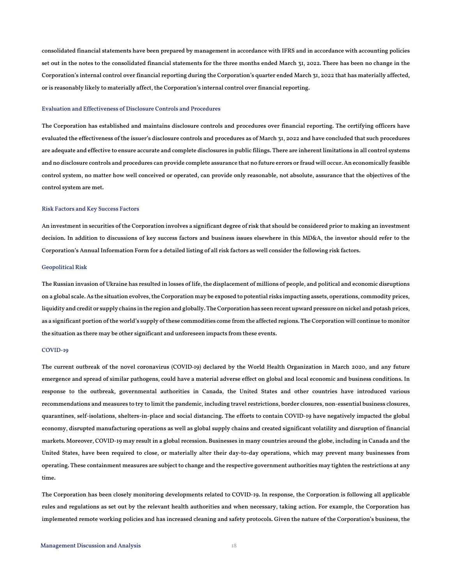consolidated financial statements have been prepared by management in accordance with IFRS and in accordance with accounting policies set out in the notes to the consolidated financial statements for the three months ended March 31, 2022. There has been no change in the Corporation's internal control over financial reporting during the Corporation's quarter ended March 31, 2022 that has materially affected, or is reasonably likely to materially affect, the Corporation's internal control over financial reporting.

### Evaluation and Effectiveness of Disclosure Controls and Procedures

The Corporation has established and maintains disclosure controls and procedures over financial reporting. The certifying officers have evaluated the effectiveness of the issuer's disclosure controls and procedures as of March 31, 2022 and have concluded that such procedures are adequate and effective to ensure accurate and complete disclosures in public filings. There are inherent limitations in all control systems and no disclosure controls and procedures can provide complete assurance that no future errors or fraud will occur. An economically feasible control system, no matter how well conceived or operated, can provide only reasonable, not absolute, assurance that the objectives of the control system are met.

# Risk Factors and Key Success Factors

An investment in securities of the Corporation involves a significant degree of risk that should be considered prior to making an investment decision. In addition to discussions of key success factors and business issues elsewhere in this MD&A, the investor should refer to the Corporation's Annual Information Form for a detailed listing of all risk factors as well consider the following risk factors.

# Geopolitical Risk

The Russian invasion of Ukraine has resulted in losses of life, the displacement of millions of people, and political and economic disruptions on a global scale. As the situation evolves, the Corporation may be exposed to potential risks impacting assets, operations, commodity prices, liquidity and credit or supply chains in the region and globally. The Corporation has seen recent upward pressure on nickel and potash prices, as a significant portion of the world's supply of these commodities come from the affected regions. The Corporation will continue to monitor the situation as there may be other significant and unforeseen impacts from these events.

# COVID-19

The current outbreak of the novel coronavirus (COVID‐19) declared by the World Health Organization in March 2020, and any future emergence and spread of similar pathogens, could have a material adverse effect on global and local economic and business conditions. In response to the outbreak, governmental authorities in Canada, the United States and other countries have introduced various recommendations and measures to try to limit the pandemic, including travel restrictions, border closures, non-essential business closures, quarantines, self-isolations, shelters-in-place and social distancing. The efforts to contain COVID-19 have negatively impacted the global economy, disrupted manufacturing operations as well as global supply chains and created significant volatility and disruption of financial markets. Moreover, COVID-19 may result in a global recession. Businesses in many countries around the globe, including in Canada and the United States, have been required to close, or materially alter their day-to-day operations, which may prevent many businesses from operating. These containment measures are subject to change and the respective government authorities may tighten the restrictions at any time.

The Corporation has been closely monitoring developments related to COVID-19. In response, the Corporation is following all applicable rules and regulations as set out by the relevant health authorities and when necessary, taking action. For example, the Corporation has implemented remote working policies and has increased cleaning and safety protocols. Given the nature of the Corporation's business, the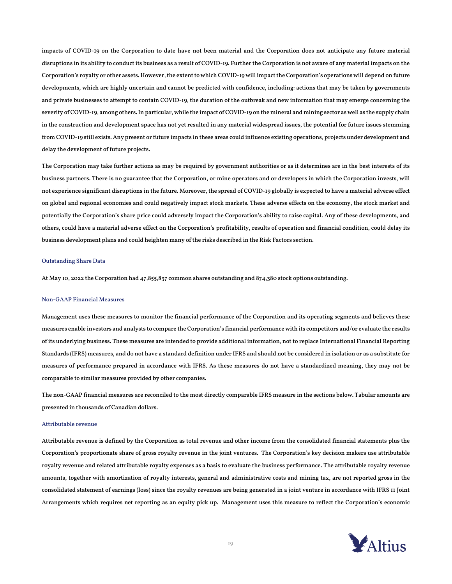impacts of COVID-19 on the Corporation to date have not been material and the Corporation does not anticipate any future material disruptions in its ability to conduct its business as a result of COVID-19. Further the Corporation is not aware of any material impacts on the Corporation's royalty or other assets. However, the extent to which COVID-19 will impact the Corporation's operations will depend on future developments, which are highly uncertain and cannot be predicted with confidence, including: actions that may be taken by governments and private businesses to attempt to contain COVID-19, the duration of the outbreak and new information that may emerge concerning the severity of COVID-19, among others. In particular, while the impact of COVID-19 on the mineral and mining sector as well as the supply chain in the construction and development space has not yet resulted in any material widespread issues, the potential for future issues stemming from COVID-19 still exists. Any present or future impacts in these areas could influence existing operations, projects under development and delay the development of future projects.

The Corporation may take further actions as may be required by government authorities or as it determines are in the best interests of its business partners. There is no guarantee that the Corporation, or mine operators and or developers in which the Corporation invests, will not experience significant disruptions in the future. Moreover, the spread of COVID-19 globally is expected to have a material adverse effect on global and regional economies and could negatively impact stock markets. These adverse effects on the economy, the stock market and potentially the Corporation's share price could adversely impact the Corporation's ability to raise capital. Any of these developments, and others, could have a material adverse effect on the Corporation's profitability, results of operation and financial condition, could delay its business development plans and could heighten many of the risks described in the Risk Factors section.

# Outstanding Share Data

At May 10, 2022 the Corporation had 47,855,837 common shares outstanding and 874,380 stock options outstanding.

### Non-GAAP Financial Measures

Management uses these measures to monitor the financial performance of the Corporation and its operating segments and believes these measures enable investors and analysts to compare the Corporation's financial performance with its competitors and/or evaluate the results of its underlying business. These measures are intended to provide additional information, not to replace International Financial Reporting Standards (IFRS) measures, and do not have a standard definition under IFRS and should not be considered in isolation or as a substitute for measures of performance prepared in accordance with IFRS. As these measures do not have a standardized meaning, they may not be comparable to similar measures provided by other companies.

The non-GAAP financial measures are reconciled to the most directly comparable IFRS measure in the sections below. Tabular amounts are presented in thousands of Canadian dollars.

#### Attributable revenue

Attributable revenue is defined by the Corporation as total revenue and other income from the consolidated financial statements plus the Corporation's proportionate share of gross royalty revenue in the joint ventures. The Corporation's key decision makers use attributable royalty revenue and related attributable royalty expenses as a basis to evaluate the business performance. The attributable royalty revenue amounts, together with amortization of royalty interests, general and administrative costs and mining tax, are not reported gross in the consolidated statement of earnings (loss) since the royalty revenues are being generated in a joint venture in accordance with IFRS 11 Joint Arrangements which requires net reporting as an equity pick up. Management uses this measure to reflect the Corporation's economic

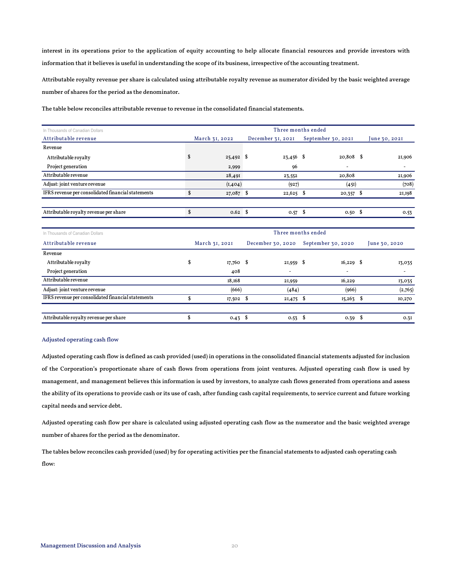interest in its operations prior to the application of equity accounting to help allocate financial resources and provide investors with information that it believes is useful in understanding the scope of its business, irrespective of the accounting treatment.

Attributable royalty revenue per share is calculated using attributable royalty revenue as numerator divided by the basic weighted average number of shares for the period as the denominator.

| In Thousands of Canadian Dollars                   | Three months ended        |                    |                                      |                          |  |  |
|----------------------------------------------------|---------------------------|--------------------|--------------------------------------|--------------------------|--|--|
| Attributable revenue                               | March 31, 2022            | December 31, 2021  | September 30, 2021                   | une 30, 2021             |  |  |
| Revenue                                            |                           |                    |                                      |                          |  |  |
| Attributable royalty                               | 25,492                    | S,<br>$23,456$ \$  | $20,808$ \$                          | 21,906                   |  |  |
| Project generation                                 | 2,999                     | 96                 | ۰                                    | $\overline{\phantom{a}}$ |  |  |
| Attributable revenue                               | 28,491                    | 23,552             | 20,808                               | 21,906                   |  |  |
| Adjust: joint venture revenue                      | (I, 404)                  | (927)              | (45I)                                | (708)                    |  |  |
| IFRS revenue per consolidated financial statements | $\mathbf{s}$<br>27,087 \$ | $22,625$ \$        | $20,357$ \$                          | 21,198                   |  |  |
|                                                    |                           |                    |                                      |                          |  |  |
| Attributable royalty revenue per share             | \$<br>$0.62$ \$           | $0.57$ \$          | $0.50$ \$                            | 0.53                     |  |  |
|                                                    |                           |                    |                                      |                          |  |  |
| In Thousands of Canadian Dollars                   |                           | Three months ended |                                      |                          |  |  |
| Attributable revenue                               | March 31, 2021            |                    | December 30, 2020 September 30, 2020 | June 30, 2020            |  |  |
| Revenue                                            |                           |                    |                                      |                          |  |  |
| Attributable royalty                               | \$<br>$17,760$ \$         | $21,959$ \$        | $16,229$ \$                          | 13,035                   |  |  |
| Project generation                                 | 408                       |                    | ٠                                    | ٠                        |  |  |
| Attributable revenue                               | 18,168                    | 21,959             | 16,229                               | 13,035                   |  |  |
| Adjust: joint venture revenue                      | (666)                     | (484)              | (966)                                | (2,765)                  |  |  |
| IFRS revenue per consolidated financial statements | \$<br>17,502              | S<br>$21,475$ \$   | 15,263                               | -\$<br>10,270            |  |  |
|                                                    |                           |                    |                                      |                          |  |  |
| Attributable royalty revenue per share             | \$<br>$0.43 \text{ }$ \$  | 0.53               | $0.39$ \$<br>- \$                    | 0.3I                     |  |  |

# Adjusted operating cash flow

Adjusted operating cash flow is defined as cash provided (used) in operations in the consolidated financial statements adjusted for inclusion of the Corporation's proportionate share of cash flows from operations from joint ventures. Adjusted operating cash flow is used by management, and management believes this information is used by investors, to analyze cash flows generated from operations and assess the ability of its operations to provide cash or its use of cash, after funding cash capital requirements, to service current and future working capital needs and service debt.

Adjusted operating cash flow per share is calculated using adjusted operating cash flow as the numerator and the basic weighted average number of shares for the period as the denominator.

The tables below reconciles cash provided (used) by for operating activities per the financial statements to adjusted cash operating cash flow: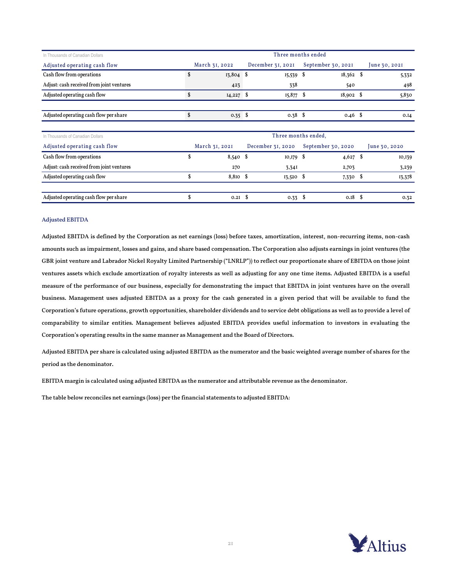| In Thousands of Canadian Dollars          | Three months ended |                   |                   |             |                     |      |               |
|-------------------------------------------|--------------------|-------------------|-------------------|-------------|---------------------|------|---------------|
| Adjusted operating cash flow              |                    | March 31, 2022    | December 31, 2021 |             | September 30, 2021  |      | June 30, 2021 |
| Cash flow from operations                 | \$                 | $13,804$ \$       |                   | $15,539$ \$ | $18,362$ \$         |      | 5,332         |
| Adjust: cash received from joint ventures |                    | 423               |                   | 338         | 540                 |      | 498           |
| Adjusted operating cash flow              | \$                 | $14,227$ \$       |                   | $15,877$ \$ | $18,902$ \$         |      | 5,830         |
|                                           |                    |                   |                   |             |                     |      |               |
| Adjusted operating cash flow per share    | \$                 | $0.35$ \$         |                   | $0.38$ \$   | $0.46$ \$           |      | 0.14          |
|                                           |                    |                   |                   |             |                     |      |               |
| In Thousands of Canadian Dollars          |                    |                   |                   |             | Three months ended. |      |               |
| Adjusted operating cash flow              |                    | March 31, 2021    | December 31, 2020 |             | September 30, 2020  |      | June 30, 2020 |
| Cash flow from operations                 | \$                 | $8,540$ \$        | 10,179            | - \$        | $4,627$ \$          |      | 10,139        |
| Adjust: cash received from joint ventures |                    | 270               | 3,34I             |             | 2,703               |      | 3,239         |
| Adjusted operating cash flow              | \$                 | $8,810$ \$        | $13,520$ \$       |             | 7,330 \$            |      | 13,378        |
|                                           |                    |                   |                   |             |                     |      |               |
| Adjusted operating cash flow per share    | \$                 | 0.2I <sub>5</sub> | 0.33              | - \$        | 0.18                | - \$ | 0.32          |

# Adjusted EBITDA

Adjusted EBITDA is defined by the Corporation as net earnings (loss) before taxes, amortization, interest, non-recurring items, non-cash amounts such as impairment, losses and gains, and share based compensation. The Corporation also adjusts earnings in joint ventures (the GBR joint venture and Labrador Nickel Royalty Limited Partnership ("LNRLP")) to reflect our proportionate share of EBITDA on those joint ventures assets which exclude amortization of royalty interests as well as adjusting for any one time items. Adjusted EBITDA is a useful measure of the performance of our business, especially for demonstrating the impact that EBITDA in joint ventures have on the overall business. Management uses adjusted EBITDA as a proxy for the cash generated in a given period that will be available to fund the Corporation's future operations, growth opportunities, shareholder dividends and to service debt obligations as well as to provide a level of comparability to similar entities. Management believes adjusted EBITDA provides useful information to investors in evaluating the Corporation's operating results in the same manner as Management and the Board of Directors.

Adjusted EBITDA per share is calculated using adjusted EBITDA as the numerator and the basic weighted average number of shares for the period as the denominator.

EBITDA margin is calculated using adjusted EBITDA as the numerator and attributable revenue as the denominator.

The table below reconciles net earnings (loss) per the financial statements to adjusted EBITDA:

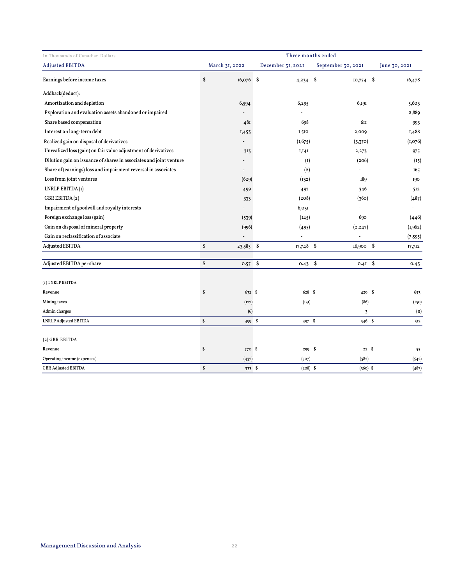| In Thousands of Canadian Dollars                                    | Three months ended |                |    |                   |                                   |              |               |  |
|---------------------------------------------------------------------|--------------------|----------------|----|-------------------|-----------------------------------|--------------|---------------|--|
| <b>Adjusted EBITDA</b>                                              |                    | March 31, 2022 |    | December 31, 2021 | September 30, 2021                |              | June 30, 2021 |  |
| Earnings before income taxes                                        | \$                 | 16,076 \$      |    | 4,234             | $\mathbf{\hat{s}}$<br>$IO,774$ \$ |              | 16,478        |  |
| Addback(deduct):                                                    |                    |                |    |                   |                                   |              |               |  |
| Amortization and depletion                                          |                    | 6,594          |    | 6,295             | 6,191                             |              | 5,603         |  |
| Exploration and evaluation assets abandoned or impaired             |                    | $\overline{a}$ |    | ä,                |                                   |              | 2,889         |  |
| Share based compensation                                            |                    | 481            |    | 698               | 611                               |              | 993           |  |
| Interest on long-term debt                                          |                    | I,453          |    | 1,510             | 2,009                             |              | I,488         |  |
| Realized gain on disposal of derivatives                            |                    |                |    | (1,675)           | (3,370)                           |              | (I, 076)      |  |
| Unrealized loss (gain) on fair value adjustment of derivatives      |                    | 313            |    | I,I4I             | 2,273                             |              | 975           |  |
| Dilution gain on issuance of shares in associates and joint venture |                    |                |    | $\left(1\right)$  | (206)                             |              | (15)          |  |
| Share of (earnings) loss and impairment reversal in associates      |                    |                |    | (2)               |                                   |              | 165           |  |
| Loss from joint ventures                                            |                    | (629)          |    | (132)             | <b>189</b>                        |              | 190           |  |
| LNRLP EBITDA(I)                                                     |                    | 499            |    | 497               | 346                               |              | 512           |  |
| GBR EBITDA(2)                                                       |                    | 333            |    | (208)             | (360)                             |              | (487)         |  |
| Impairment of goodwill and royalty interests                        |                    |                |    | 6,031             | ä,                                |              | ÷.            |  |
| Foreign exchange loss (gain)                                        |                    | (539)          |    | (145)             | 690                               |              | (446)         |  |
| Gain on disposal of mineral property                                |                    | (996)          |    | (495)             | (2, 247)                          |              | (1,962)       |  |
| Gain on reclassification of associate                               |                    |                |    |                   |                                   |              | (7, 595)      |  |
| <b>Adjusted EBITDA</b>                                              | \$                 | 23,585 \$      |    | $17,748$ \$       | 16,900                            | $\mathbf{s}$ | 17,712        |  |
| Adjusted EBITDA per share                                           | \$                 | 0.57           | \$ | $0.43$ \$         | $0.4I$ \$                         |              | 0.43          |  |
| (1) LNRLP EBITDA                                                    |                    |                |    |                   |                                   |              |               |  |
| Revenue                                                             | \$                 | 632 \$         |    | 628 \$            | 429 \$                            |              | 653           |  |
| Mining taxes                                                        |                    | (127)          |    | (131)             | (86)                              |              | (130)         |  |
| Admin charges                                                       |                    | (6)            |    |                   | $\overline{3}$                    |              | (II)          |  |
| <b>LNRLP Adjusted EBITDA</b>                                        | $\mathbb S$        | 499 \$         |    | 497 \$            | 346 \$                            |              | 512           |  |
| (2) GBR EBITDA                                                      |                    |                |    |                   |                                   |              |               |  |
| Revenue                                                             | \$                 | 770 \$         |    | 299               | - \$                              | 22S          | 55            |  |
| Operating income (expenses)                                         |                    | (437)          |    | (507)             | (382)                             |              | (542)         |  |
| <b>GBR Adjusted EBITDA</b>                                          | \$                 | 333 \$         |    | $(208)$ \$        | $(360)$ \$                        |              | (487)         |  |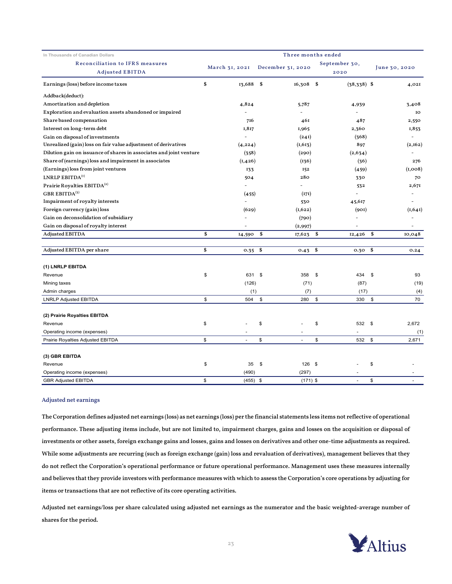| In Thousands of Canadian Dollars                                    | Three months ended |                   |                       |                        |  |  |  |  |  |
|---------------------------------------------------------------------|--------------------|-------------------|-----------------------|------------------------|--|--|--|--|--|
| Reconciliation to IFRS measures                                     | March 31, 2021     | December 31, 2020 | September 30,         | June 30, 2020          |  |  |  |  |  |
| <b>Adjusted EBITDA</b><br>Earnings (loss) before income taxes       | \$<br>13,688       | \$<br>$16,308$ \$ | 2020<br>$(38,338)$ \$ | 4,021                  |  |  |  |  |  |
|                                                                     |                    |                   |                       |                        |  |  |  |  |  |
| Addback(deduct):                                                    |                    |                   |                       |                        |  |  |  |  |  |
| Amortization and depletion                                          | 4,824              | 5,787             | 4,939                 | 3,408                  |  |  |  |  |  |
| Exploration and evaluation assets abandoned or impaired             |                    |                   |                       | IO                     |  |  |  |  |  |
| Share based compensation                                            | 716                | 461               | 487                   | 2,550                  |  |  |  |  |  |
| Interest on long-term debt                                          | 1,817              | 1,965             | 2,360                 | 1,853                  |  |  |  |  |  |
| Gain on disposal of investments                                     |                    | (241)             | (368)                 |                        |  |  |  |  |  |
| Unrealized (gain) loss on fair value adjustment of derivatives      | (4, 224)           | (1,613)           | 897                   | (2,162)                |  |  |  |  |  |
| Dilution gain on issuance of shares in associates and joint venture | (358)              | (290)             | (2,634)               |                        |  |  |  |  |  |
| Share of (earnings) loss and impairment in associates               | (I, 426)           | (136)             | (36)                  | 276                    |  |  |  |  |  |
| (Earnings) loss from joint ventures                                 | 133                | 152               | (459)                 | (I,008)                |  |  |  |  |  |
| LNRLP EBITDA <sup>(1)</sup>                                         | 504                | 280               | 330                   | 70                     |  |  |  |  |  |
| Prairie Royalties EBITDA <sup>(2)</sup>                             | $\overline{a}$     | $\overline{a}$    | 532                   | 2,671                  |  |  |  |  |  |
| GBR EBITDA $(3)$                                                    | (455)              | (171)             |                       | $\overline{a}$         |  |  |  |  |  |
| Impairment of royalty interests                                     |                    | 530               | 45,617                |                        |  |  |  |  |  |
| Foreign currency (gain) loss                                        | (629)              | (1,622)           | (901)                 | (1,641)                |  |  |  |  |  |
| Gain on deconsolidation of subsidiary                               |                    | (790)             |                       |                        |  |  |  |  |  |
| Gain on disposal of royalty interest                                |                    | (2,997)           |                       |                        |  |  |  |  |  |
| <b>Adjusted EBITDA</b>                                              | \$<br>14,590       | \$<br>17,623      | \$<br>12,426          | \$<br>10,048           |  |  |  |  |  |
| Adjusted EBITDA per share                                           | \$<br>0.35         | \$<br>0.43        | \$<br>0.30            | \$<br>0.24             |  |  |  |  |  |
| (1) LNRLP EBITDA                                                    |                    |                   |                       |                        |  |  |  |  |  |
| Revenue                                                             | \$<br>631          | \$<br>358         | \$<br>434             | \$<br>93               |  |  |  |  |  |
| Mining taxes                                                        | (126)              | (71)              | (87)                  | (19)                   |  |  |  |  |  |
| Admin charges                                                       | (1)                | (7)               | (17)                  | (4)                    |  |  |  |  |  |
| <b>LNRLP Adjusted EBITDA</b>                                        | \$<br>504          | \$<br>280         | \$<br>330             | 70<br>\$               |  |  |  |  |  |
|                                                                     |                    |                   |                       |                        |  |  |  |  |  |
| (2) Prairie Royalties EBITDA                                        |                    |                   |                       |                        |  |  |  |  |  |
| Revenue                                                             | \$                 | \$                | \$<br>532             | \$<br>2,672            |  |  |  |  |  |
| Operating income (expenses)                                         |                    |                   |                       | (1)                    |  |  |  |  |  |
| Prairie Royalties Adjusted EBITDA                                   | \$                 | \$                | \$<br>532             | $\mathfrak s$<br>2,671 |  |  |  |  |  |
| (3) GBR EBITDA                                                      |                    |                   |                       |                        |  |  |  |  |  |
| Revenue                                                             | \$<br>35           | \$<br>$126$ \$    |                       | \$                     |  |  |  |  |  |
| Operating income (expenses)                                         | (490)              | (297)             | $\sim$                | ٠                      |  |  |  |  |  |
| <b>GBR Adjusted EBITDA</b>                                          | \$<br>$(455)$ \$   | $(171)$ \$        | ÷                     | \$                     |  |  |  |  |  |

# Adjusted net earnings

The Corporation defines adjusted net earnings (loss) as net earnings (loss) per the financial statements less items not reflective of operational performance. These adjusting items include, but are not limited to, impairment charges, gains and losses on the acquisition or disposal of investments or other assets, foreign exchange gains and losses, gains and losses on derivatives and other one-time adjustments as required. While some adjustments are recurring (such as foreign exchange (gain) loss and revaluation of derivatives), management believes that they do not reflect the Corporation's operational performance or future operational performance. Management uses these measures internally and believes that they provide investors with performance measures with which to assess the Corporation's core operations by adjusting for items or transactions that are not reflective of its core operating activities.

Adjusted net earnings/loss per share calculated using adjusted net earnings as the numerator and the basic weighted-average number of shares for the period.

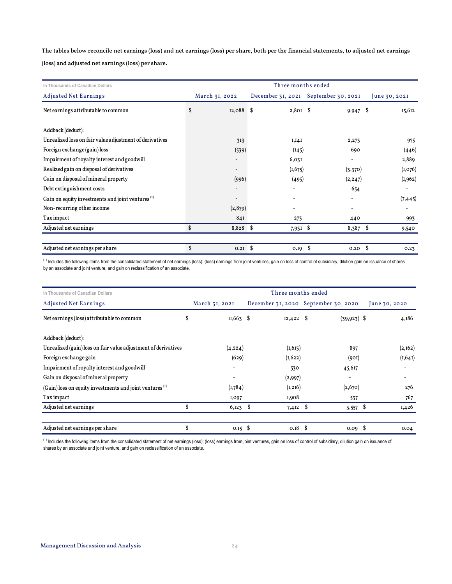The tables below reconcile net earnings (loss) and net earnings (loss) per share, both per the financial statements, to adjusted net earnings

(loss) and adjusted net earnings (loss) per share.

| In Thousands of Canadian Dollars                             | Three months ended |                |                          |                                      |      |               |  |  |
|--------------------------------------------------------------|--------------------|----------------|--------------------------|--------------------------------------|------|---------------|--|--|
| <b>Adjusted Net Earnings</b>                                 |                    | March 31, 2022 |                          | December 31, 2021 September 30, 2021 |      | June 30, 2021 |  |  |
| Net earnings attributable to common                          | \$                 | $12,088$ \$    | $2,801$ \$               | $9,947$ \$                           |      | 15,612        |  |  |
| Addback (deduct):                                            |                    |                |                          |                                      |      |               |  |  |
| Unrealized loss on fair value adjustment of derivatives      |                    | 313            | I, I4I                   | 2,273                                |      | 975           |  |  |
| Foreign exchange (gain) loss                                 |                    | (539)          | (145)                    | 690                                  |      | (446)         |  |  |
| Impairment of royalty interest and goodwill                  |                    |                | 6,03I                    |                                      |      | 2,889         |  |  |
| Realized gain on disposal of derivatives                     |                    |                | (I, 675)                 | (3,370)                              |      | (I, 076)      |  |  |
| Gain on disposal of mineral property                         |                    | (996)          | (495)                    | (2, 247)                             |      | (I, 962)      |  |  |
| Debt extinguishment costs                                    |                    |                | $\overline{\phantom{a}}$ | 654                                  |      |               |  |  |
| Gain on equity investments and joint ventures <sup>(1)</sup> |                    |                | $\overline{\phantom{a}}$ |                                      |      | (7, 445)      |  |  |
| Non-recurring other income                                   |                    | (2,879)        |                          |                                      |      |               |  |  |
| Tax impact                                                   |                    | 841            | 273                      | 440                                  |      | 993           |  |  |
| Adjusted net earnings                                        | \$                 | $8,828$ \$     | 7,931 \$                 | $8,387$ \$                           |      | 9,540         |  |  |
| Adjusted net earnings per share                              | \$                 | $0.2I$ \$      | $0.19$ \$                | 0.20                                 | - \$ | 0.23          |  |  |

<sup>(1)</sup> Includes the following items from the consolidated statement of net earnings (loss): (loss) earnings from joint ventures, gain on loss of control of subsidiary, dilution gain on issuance of shares by an associate and joint venture, and gain on reclassification of an associate.

| In Thousands of Canadian Dollars                                    |    | Three months ended       |    |                                      |  |                |                          |  |  |
|---------------------------------------------------------------------|----|--------------------------|----|--------------------------------------|--|----------------|--------------------------|--|--|
| <b>Adjusted Net Earnings</b>                                        |    | March 31, 2021           |    | December 31, 2020 September 30, 2020 |  |                | June 30, 2020            |  |  |
| Net earnings (loss) attributable to common                          | \$ | $II,663$ \$              |    | $12,422$ \$                          |  | $(39, 923)$ \$ | 4,186                    |  |  |
| Addback (deduct):                                                   |    |                          |    |                                      |  |                |                          |  |  |
| Unrealized (gain) loss on fair value adjustment of derivatives      |    | (4, 224)                 |    | $(I, 6I_3)$                          |  | 897            | (2,162)                  |  |  |
| Foreign exchange gain                                               |    | (629)                    |    | (I, 622)                             |  | (90I)          | (I, 64I)                 |  |  |
| Impairment of royalty interest and goodwill                         |    | $\overline{\phantom{a}}$ |    | 530                                  |  | 45,617         |                          |  |  |
| Gain on disposal of mineral property                                |    | $\overline{\phantom{0}}$ |    | (2,997)                              |  |                | $\overline{\phantom{a}}$ |  |  |
| (Gain) loss on equity investments and joint ventures <sup>(1)</sup> |    | (I, 784)                 |    | (I, 2I6)                             |  | (2,670)        | 276                      |  |  |
| Tax impact                                                          |    | I,097                    |    | I,908                                |  | 537            | 767                      |  |  |
| Adjusted net earnings                                               |    | $6,123$ \$               |    | $7,412$ \$                           |  | \$<br>3,557    | 1,426                    |  |  |
| Adjusted net earnings per share                                     | \$ | 0.15                     | \$ | $0.18$ \ $\frac{6}{3}$               |  | $0.09$ \$      | 0.04                     |  |  |

<sup>(1)</sup> Includes the following items from the consolidated statement of net earnings (loss): (loss) earnings from joint ventures, gain on loss of control of subsidiary, dilution gain on issuance of shares by an associate and joint venture, and gain on reclassification of an associate.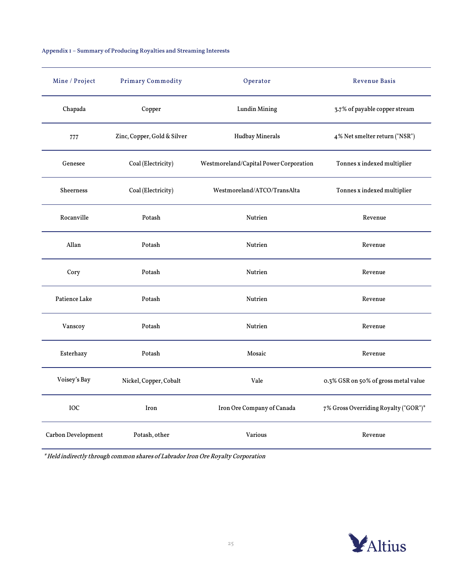# Appendix 1 – Summary of Producing Royalties and Streaming Interests

| Mine / Project     | <b>Primary Commodity</b>    | Operator                               | <b>Revenue Basis</b>                 |
|--------------------|-----------------------------|----------------------------------------|--------------------------------------|
| Chapada            | Copper                      | <b>Lundin Mining</b>                   | 3.7% of payable copper stream        |
| 777                | Zinc, Copper, Gold & Silver | <b>Hudbay Minerals</b>                 | 4% Net smelter return ("NSR")        |
| Genesee            | Coal (Electricity)          | Westmoreland/Capital Power Corporation | Tonnes x indexed multiplier          |
| <b>Sheerness</b>   | Coal (Electricity)          | Westmoreland/ATCO/TransAlta            | Tonnes x indexed multiplier          |
| Rocanville         | Potash                      | Nutrien                                | Revenue                              |
| Allan              | Potash                      | Nutrien                                | Revenue                              |
| Cory               | Potash                      | Nutrien                                | Revenue                              |
| Patience Lake      | Potash                      | Nutrien                                | Revenue                              |
| Vanscoy            | Potash                      | Nutrien                                | Revenue                              |
| Esterhazy          | Potash                      | Mosaic                                 | Revenue                              |
| Voisey's Bay       | Nickel, Copper, Cobalt      | Vale                                   | 0.3% GSR on 50% of gross metal value |
| IOC                | Iron                        | Iron Ore Company of Canada             | 7% Gross Overriding Royalty ("GOR")* |
| Carbon Development | Potash, other               | Various                                | Revenue                              |

\* Held indirectly through common shares of Labrador Iron Ore Royalty Corporation

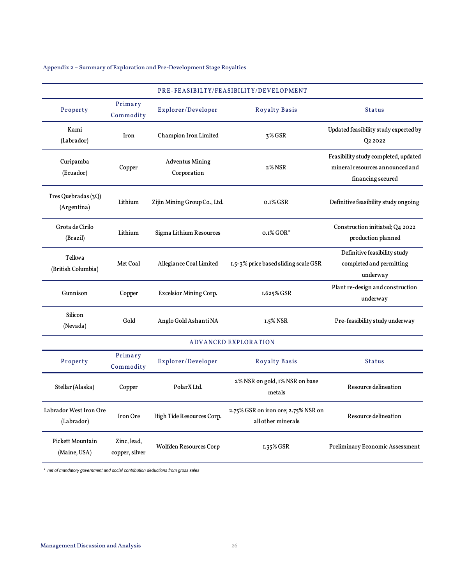Appendix 2 – Summary of Exploration and Pre-Development Stage Royalties

|                                         |                               |                                       | PRE-FEASIBILTY/FEASIBILITY/DEVELOPMENT                    |                                                                                              |
|-----------------------------------------|-------------------------------|---------------------------------------|-----------------------------------------------------------|----------------------------------------------------------------------------------------------|
| Property                                | Primary<br>Commodity          | Explorer/Developer                    | <b>Royalty Basis</b>                                      | <b>Status</b>                                                                                |
| Kami<br>(Labrador)                      | Iron                          | Champion Iron Limited                 | 3% GSR                                                    | Updated feasibility study expected by<br>Q2 2022                                             |
| Curipamba<br>(Ecuador)                  | Copper                        | <b>Adventus Mining</b><br>Corporation | 2% NSR                                                    | Feasibility study completed, updated<br>mineral resources announced and<br>financing secured |
| Tres Quebradas (3Q)<br>(Argentina)      | Lithium                       | Zijin Mining Group Co., Ltd.          | o.1% GSR                                                  | Definitive feasibility study ongoing                                                         |
| Grota de Cirilo<br>(Brazil)             | Lithium                       | Sigma Lithium Resources               | $0.1\%$ GOR*                                              | Construction initiated; Q4 2022<br>production planned                                        |
| Telkwa<br>(British Columbia)            | Met Coal                      | Allegiance Coal Limited               | 1.5-3% price based sliding scale GSR                      | Definitive feasibility study<br>completed and permitting<br>underway                         |
| Gunnison                                | Copper                        | <b>Excelsior Mining Corp.</b>         | 1.625% GSR                                                | Plant re-design and construction<br>underway                                                 |
| Silicon<br>(Nevada)                     | Gold                          | Anglo Gold Ashanti NA                 | $1.5\%$ NSR                                               | Pre-feasibility study underway                                                               |
|                                         |                               |                                       | <b>ADVANCED EXPLORATION</b>                               |                                                                                              |
| Property                                | Primary<br>Commodity          | Explorer/Developer                    | <b>Royalty Basis</b>                                      | <b>Status</b>                                                                                |
| Stellar (Alaska)                        | Copper                        | PolarX Ltd.                           | 2% NSR on gold, 1% NSR on base<br>metals                  | Resource delineation                                                                         |
| Labrador West Iron Ore<br>(Labrador)    | Iron Ore                      | High Tide Resources Corp.             | 2.75% GSR on iron ore; 2.75% NSR on<br>all other minerals | Resource delineation                                                                         |
| <b>Pickett Mountain</b><br>(Maine, USA) | Zinc, lead,<br>copper, silver | Wolfden Resources Corp                | $1.35\%$ GSR                                              | Preliminary Economic Assessment                                                              |

*\* net of mandatory government and social contribution deductions from gross sales*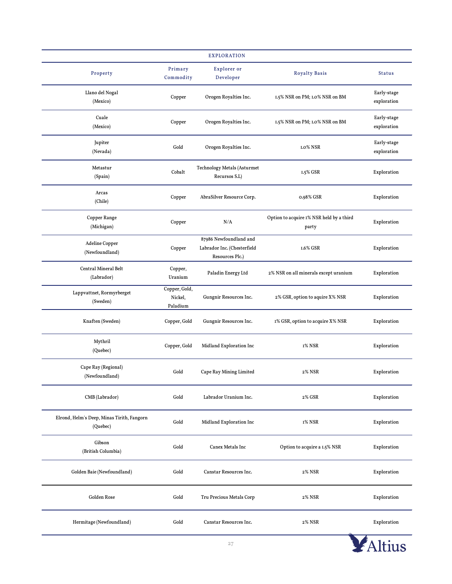|                                                        |                                      | <b>EXPLORATION</b>                                                       |                                                   |                            |
|--------------------------------------------------------|--------------------------------------|--------------------------------------------------------------------------|---------------------------------------------------|----------------------------|
| Property                                               | Primary<br>Commodity                 | Explorer or<br>Developer                                                 | <b>Royalty Basis</b>                              | <b>Status</b>              |
| Llano del Nogal<br>(Mexico)                            | Copper                               | Orogen Royalties Inc.                                                    | 1.5% NSR on PM; 1.0% NSR on BM                    | Early-stage<br>exploration |
| Cuale<br>(Mexico)                                      | Copper                               | Orogen Royalties Inc.                                                    | 1.5% NSR on PM; 1.0% NSR on BM                    | Early-stage<br>exploration |
| Jupiter<br>(Nevada)                                    | Gold                                 | Orogen Royalties Inc.                                                    | 1.0% NSR                                          | Early-stage<br>exploration |
| Metastur<br>(Spain)                                    | Cobalt                               | <b>Technology Metals (Asturmet</b><br>Recursos S.L)                      | 1.5% GSR                                          | Exploration                |
| Arcas<br>(Chile)                                       | Copper                               | AbraSilver Resource Corp.                                                | 0.98% GSR                                         | Exploration                |
| Copper Range<br>(Michigan)                             | Copper                               | N/A                                                                      | Option to acquire 1% NSR held by a third<br>party | Exploration                |
| Adeline Copper<br>(Newfoundland)                       | Copper                               | 87986 Newfoundland and<br>Labrador Inc. (Chesterfield<br>Resources Plc.) | 1.6% GSR                                          | Exploration                |
| Central Mineral Belt<br>(Labrador)                     | Copper,<br>Uranium                   | Paladin Energy Ltd                                                       | 2% NSR on all minerals except uranium             | Exploration                |
| Lappvattnet, Rormyrberget<br>(Sweden)                  | Copper, Gold,<br>Nickel,<br>Paladium | Gungnir Resources Inc.                                                   | 2% GSR, option to aquire X% NSR                   | Exploration                |
| Knaften (Sweden)                                       | Copper, Gold                         | Gungnir Resources Inc.                                                   | 1% GSR, option to acquire X% NSR                  | Exploration                |
| Mythril<br>(Quebec)                                    | Copper, Gold                         | Midland Exploration Inc                                                  | 1% NSR                                            | Exploration                |
| Cape Ray (Regional)<br>(Newfoundland)                  | Gold                                 | Cape Ray Mining Limited                                                  | 2% NSR                                            | Exploration                |
| CMB (Labrador)                                         | Gold                                 | Labrador Uranium Inc.                                                    | 2% GSR                                            | Exploration                |
| Elrond, Helm's Deep, Minas Tirith, Fangorn<br>(Quebec) | Gold                                 | Midland Exploration Inc                                                  | 1% NSR                                            | Exploration                |
| Gibson<br>(British Columbia)                           | Gold                                 | Canex Metals Inc                                                         | Option to acquire a 1.5% NSR                      | Exploration                |
| Golden Baie (Newfoundland)                             | Gold                                 | Canstar Resources Inc.                                                   | 2% NSR                                            | Exploration                |
| Golden Rose                                            | Gold                                 | Tru Precious Metals Corp                                                 | 2% NSR                                            | Exploration                |
| Hermitage (Newfoundland)                               | Gold                                 | Canstar Resources Inc.                                                   | 2% NSR                                            | Exploration                |

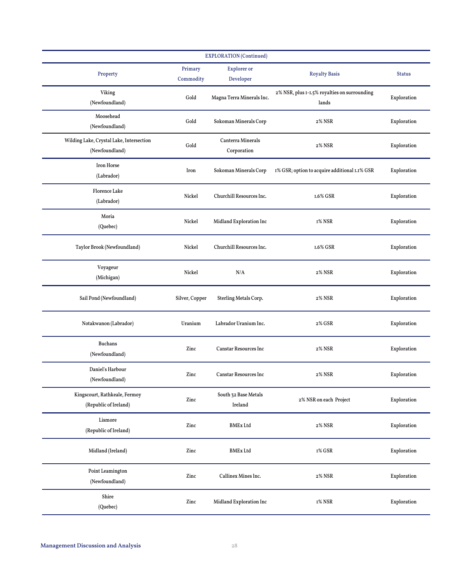|                                                            |                      | <b>EXPLORATION</b> (Continued)   |                                                       |               |
|------------------------------------------------------------|----------------------|----------------------------------|-------------------------------------------------------|---------------|
| Property                                                   | Primary<br>Commodity | <b>Explorer</b> or<br>Developer  | <b>Royalty Basis</b>                                  | <b>Status</b> |
| Viking<br>(Newfoundland)                                   | Gold                 | Magna Terra Minerals Inc.        | 2% NSR, plus I-I.5% royalties on surrounding<br>lands | Exploration   |
| Moosehead<br>(Newfoundland)                                | Gold                 | Sokoman Minerals Corp            | 2% NSR                                                | Exploration   |
| Wilding Lake, Crystal Lake, Intersection<br>(Newfoundland) | Gold                 | Canterra Minerals<br>Corporation | 2% NSR                                                | Exploration   |
| Iron Horse<br>(Labrador)                                   | Iron                 | Sokoman Minerals Corp            | 1% GSR; option to acquire additional 1.1% GSR         | Exploration   |
| <b>Florence Lake</b><br>(Labrador)                         | Nickel               | Churchill Resources Inc.         | 1.6% GSR                                              | Exploration   |
| Moria<br>(Quebec)                                          | Nickel               | Midland Exploration Inc          | 1% NSR                                                | Exploration   |
| Taylor Brook (Newfoundland)                                | Nickel               | Churchill Resources Inc.         | 1.6% GSR                                              | Exploration   |
| Voyageur<br>(Michigan)                                     | Nickel               | N/A                              | 2% NSR                                                | Exploration   |
| Sail Pond (Newfoundland)                                   | Silver, Copper       | Sterling Metals Corp.            | 2% NSR                                                | Exploration   |
| Notakwanon (Labrador)                                      | Uranium              | Labrador Uranium Inc.            | 2% GSR                                                | Exploration   |
| <b>Buchans</b><br>(Newfoundland)                           | Zinc                 | <b>Canstar Resources Inc</b>     | 2% NSR                                                | Exploration   |
| Daniel's Harbour<br>(Newfoundland)                         | Zinc                 | <b>Canstar Resources Inc</b>     | 2% NSR                                                | Exploration   |
| Kingscourt, Rathkeale, Fermoy<br>(Republic of Ireland)     | Zinc                 | South 32 Base Metals<br>Ireland  | 2% NSR on each Project                                | Exploration   |
| Lismore<br>(Republic of Ireland)                           | $\mbox{Zinc}$        | <b>BMEx Ltd</b>                  | <b>2% NSR</b>                                         | Exploration   |
| Midland (Ireland)                                          | Zinc                 | <b>BMEx Ltd</b>                  | 1% GSR                                                | Exploration   |
| Point Leamington<br>(Newfoundland)                         | Zinc                 | Callinex Mines Inc.              | 2% NSR                                                | Exploration   |
| Shire<br>(Quebec)                                          | $\mbox{Zinc}$        | Midland Exploration Inc          | 1% NSR                                                | Exploration   |